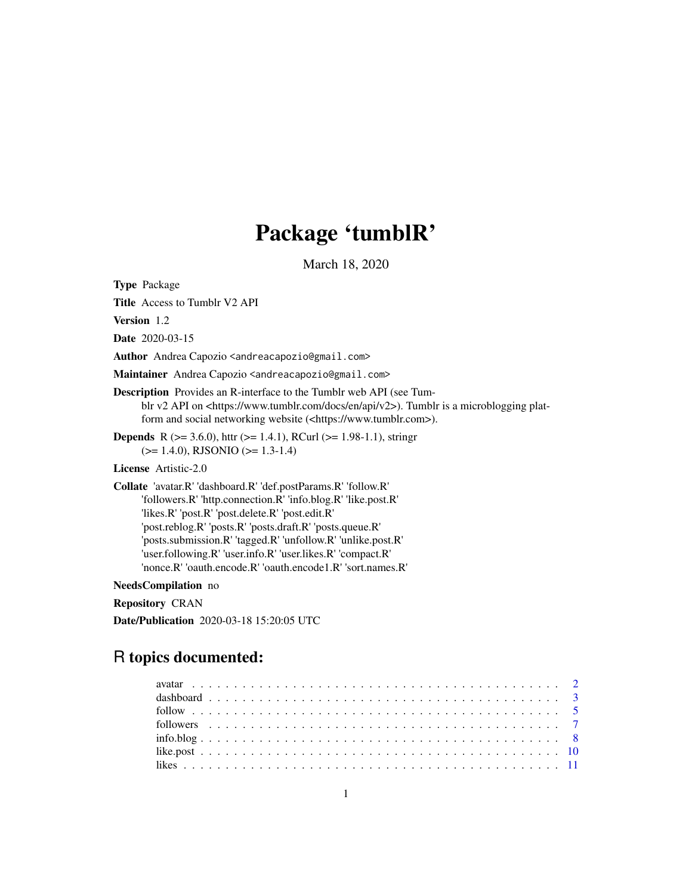# Package 'tumblR'

March 18, 2020

Type Package

Title Access to Tumblr V2 API

Version 1.2

Date 2020-03-15

Author Andrea Capozio <andreacapozio@gmail.com>

Maintainer Andrea Capozio <andreacapozio@gmail.com>

Description Provides an R-interface to the Tumblr web API (see Tumblr v2 API on  $\langle$ https://www.tumblr.com/docs/en/api/v2>). Tumblr is a microblogging platform and social networking website (<https://www.tumblr.com>).

**Depends** R ( $>= 3.6.0$ ), httr ( $>= 1.4.1$ ), RCurl ( $>= 1.98-1.1$ ), stringr (>= 1.4.0), RJSONIO (>= 1.3-1.4)

License Artistic-2.0

Collate 'avatar.R' 'dashboard.R' 'def.postParams.R' 'follow.R' 'followers.R' 'http.connection.R' 'info.blog.R' 'like.post.R' 'likes.R' 'post.R' 'post.delete.R' 'post.edit.R' 'post.reblog.R' 'posts.R' 'posts.draft.R' 'posts.queue.R' 'posts.submission.R' 'tagged.R' 'unfollow.R' 'unlike.post.R' 'user.following.R' 'user.info.R' 'user.likes.R' 'compact.R' 'nonce.R' 'oauth.encode.R' 'oauth.encode1.R' 'sort.names.R'

NeedsCompilation no

Repository CRAN

Date/Publication 2020-03-18 15:20:05 UTC

# R topics documented: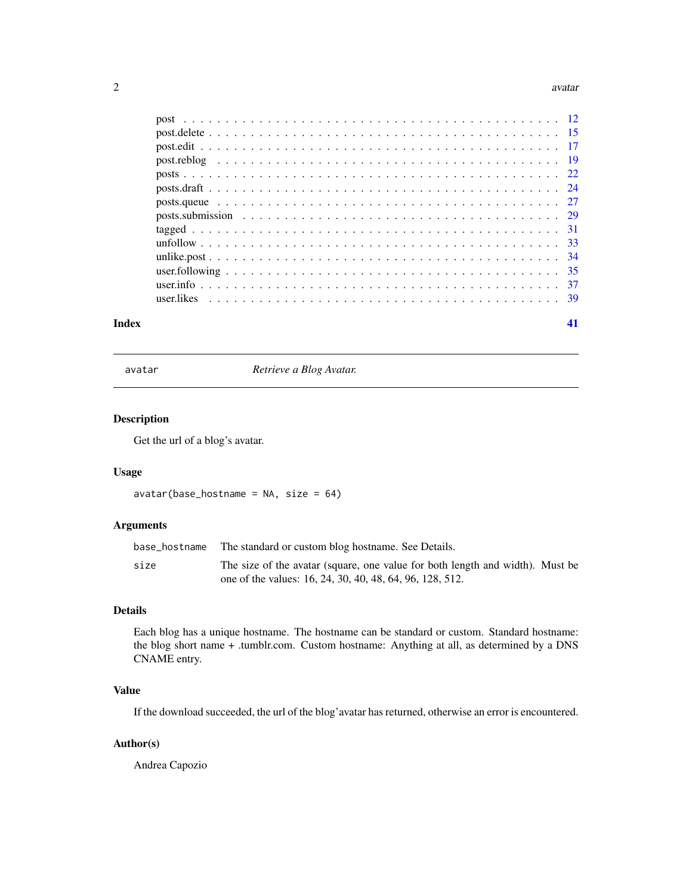#### <span id="page-1-0"></span> $2 \times 2$

| Index |  |
|-------|--|

avatar *Retrieve a Blog Avatar.*

# Description

Get the url of a blog's avatar.

# Usage

 $avatar(base\_hostname = NA, size = 64)$ 

# Arguments

| base_hostname | The standard or custom blog hostname. See Details.                            |
|---------------|-------------------------------------------------------------------------------|
| size          | The size of the avatar (square, one value for both length and width). Must be |
|               | one of the values: 16, 24, 30, 40, 48, 64, 96, 128, 512.                      |

# Details

Each blog has a unique hostname. The hostname can be standard or custom. Standard hostname: the blog short name + .tumblr.com. Custom hostname: Anything at all, as determined by a DNS CNAME entry.

# Value

If the download succeeded, the url of the blog'avatar has returned, otherwise an error is encountered.

# Author(s)

Andrea Capozio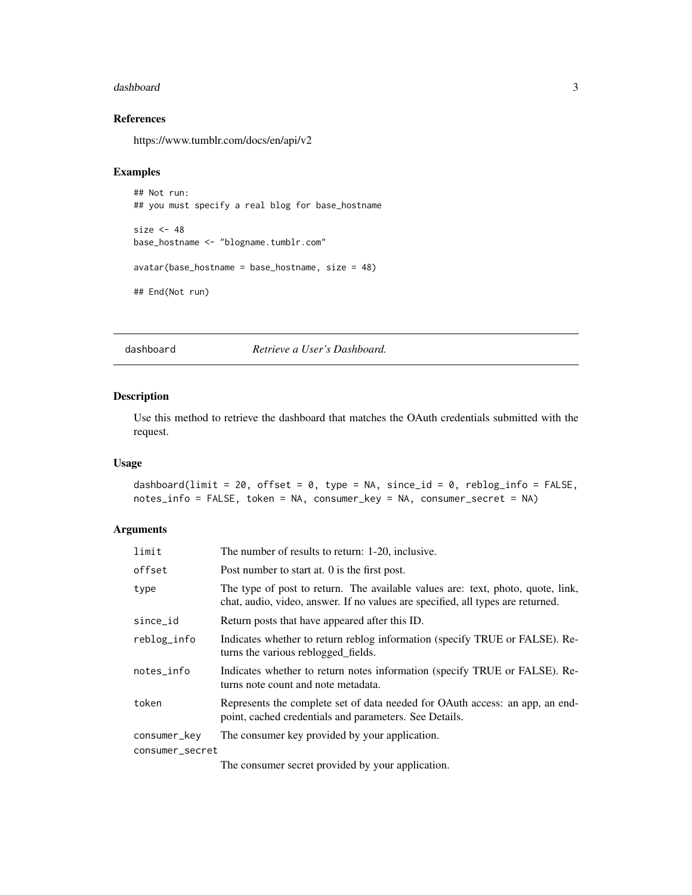#### <span id="page-2-0"></span>dashboard 3

# References

https://www.tumblr.com/docs/en/api/v2

#### Examples

```
## Not run:
## you must specify a real blog for base_hostname
size < -48base_hostname <- "blogname.tumblr.com"
avatar(base_hostname = base_hostname, size = 48)
## End(Not run)
```
dashboard *Retrieve a User's Dashboard.*

#### Description

Use this method to retrieve the dashboard that matches the OAuth credentials submitted with the request.

# Usage

```
dashboard(limit = 20, offset = 0, type = NA, since_id = 0, reblog_info = FALSE,
notes_info = FALSE, token = NA, consumer_key = NA, consumer_secret = NA)
```
# Arguments

| limit           | The number of results to return: 1-20, inclusive.                                                                                                                  |
|-----------------|--------------------------------------------------------------------------------------------------------------------------------------------------------------------|
| offset          | Post number to start at. 0 is the first post.                                                                                                                      |
| type            | The type of post to return. The available values are: text, photo, quote, link,<br>chat, audio, video, answer. If no values are specified, all types are returned. |
| since_id        | Return posts that have appeared after this ID.                                                                                                                     |
| reblog_info     | Indicates whether to return reblog information (specify TRUE or FALSE). Re-<br>turns the various reblogged fields.                                                 |
| notes_info      | Indicates whether to return notes information (specify TRUE or FALSE). Re-<br>turns note count and note metadata.                                                  |
| token           | Represents the complete set of data needed for OAuth access: an app, an end-<br>point, cached credentials and parameters. See Details.                             |
| consumer_key    | The consumer key provided by your application.                                                                                                                     |
| consumer_secret |                                                                                                                                                                    |
|                 | The communication of the communication of the communication of the continues.                                                                                      |

The consumer secret provided by your application.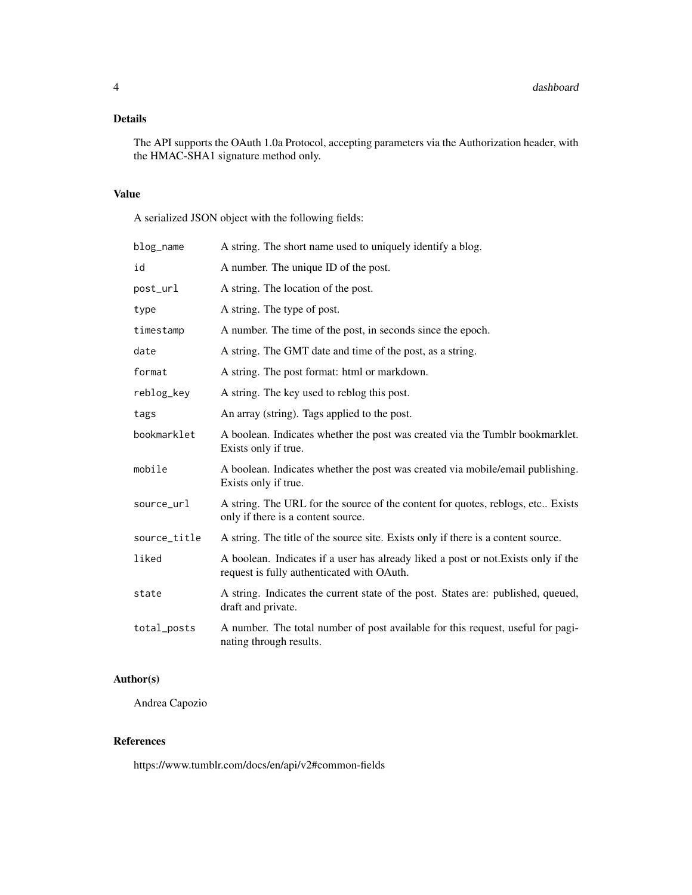# Details

The API supports the OAuth 1.0a Protocol, accepting parameters via the Authorization header, with the HMAC-SHA1 signature method only.

# Value

A serialized JSON object with the following fields:

| blog_name    | A string. The short name used to uniquely identify a blog.                                                                       |
|--------------|----------------------------------------------------------------------------------------------------------------------------------|
| id           | A number. The unique ID of the post.                                                                                             |
| post_url     | A string. The location of the post.                                                                                              |
| type         | A string. The type of post.                                                                                                      |
| timestamp    | A number. The time of the post, in seconds since the epoch.                                                                      |
| date         | A string. The GMT date and time of the post, as a string.                                                                        |
| format       | A string. The post format: html or markdown.                                                                                     |
| reblog_key   | A string. The key used to reblog this post.                                                                                      |
| tags         | An array (string). Tags applied to the post.                                                                                     |
| bookmarklet  | A boolean. Indicates whether the post was created via the Tumblr bookmarklet.<br>Exists only if true.                            |
| mobile       | A boolean. Indicates whether the post was created via mobile/email publishing.<br>Exists only if true.                           |
| source_url   | A string. The URL for the source of the content for quotes, reblogs, etc Exists<br>only if there is a content source.            |
| source_title | A string. The title of the source site. Exists only if there is a content source.                                                |
| liked        | A boolean. Indicates if a user has already liked a post or not. Exists only if the<br>request is fully authenticated with OAuth. |
| state        | A string. Indicates the current state of the post. States are: published, queued,<br>draft and private.                          |
| total_posts  | A number. The total number of post available for this request, useful for pagi-<br>nating through results.                       |

# Author(s)

Andrea Capozio

# References

https://www.tumblr.com/docs/en/api/v2#common-fields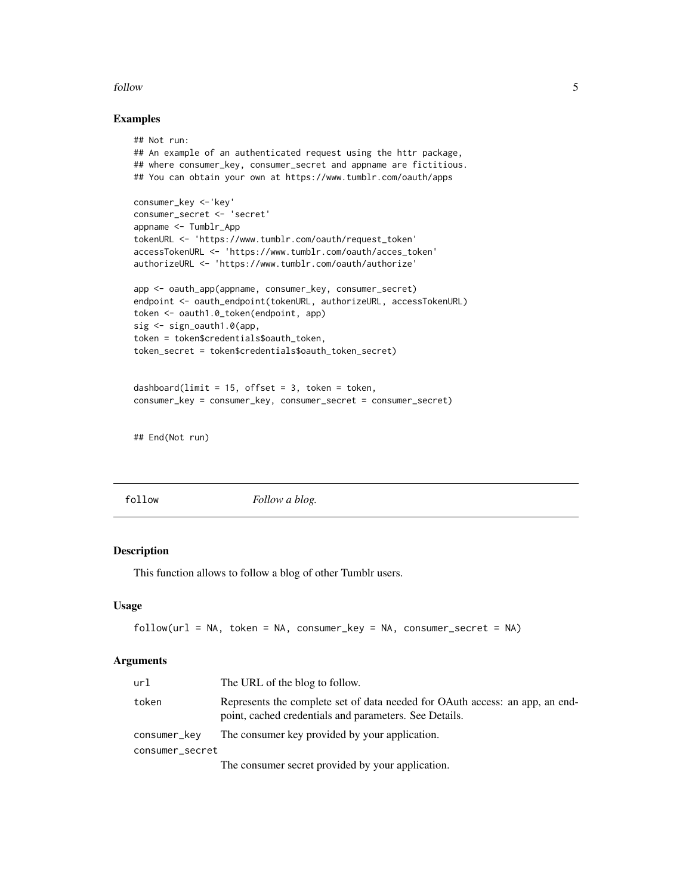#### <span id="page-4-0"></span>follow 5

# Examples

```
## Not run:
## An example of an authenticated request using the httr package,
## where consumer_key, consumer_secret and appname are fictitious.
## You can obtain your own at https://www.tumblr.com/oauth/apps
consumer_key <-'key'
consumer_secret <- 'secret'
appname <- Tumblr_App
tokenURL <- 'https://www.tumblr.com/oauth/request_token'
accessTokenURL <- 'https://www.tumblr.com/oauth/acces_token'
authorizeURL <- 'https://www.tumblr.com/oauth/authorize'
app <- oauth_app(appname, consumer_key, consumer_secret)
endpoint <- oauth_endpoint(tokenURL, authorizeURL, accessTokenURL)
token <- oauth1.0_token(endpoint, app)
sig <- sign_oauth1.0(app,
token = token$credentials$oauth_token,
token_secret = token$credentials$oauth_token_secret)
```

```
dashboard(limit = 15, offset = 3, token = token,
consumer_key = consumer_key, consumer_secret = consumer_secret)
```
## End(Not run)

follow *Follow a blog.*

# Description

This function allows to follow a blog of other Tumblr users.

#### Usage

```
follow(url = NA, token = NA, consumer_key = NA, consumer_secret = NA)
```
#### Arguments

| url             | The URL of the blog to follow.                                                                                                         |
|-----------------|----------------------------------------------------------------------------------------------------------------------------------------|
| token           | Represents the complete set of data needed for OAuth access: an app, an end-<br>point, cached credentials and parameters. See Details. |
| consumer_key    | The consumer key provided by your application.                                                                                         |
| consumer_secret |                                                                                                                                        |
|                 |                                                                                                                                        |

The consumer secret provided by your application.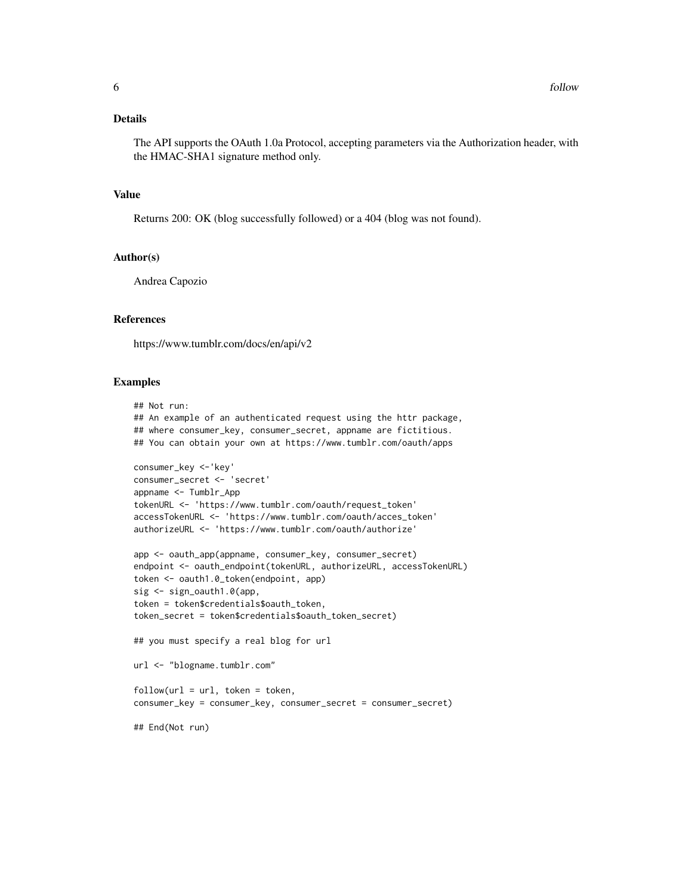The API supports the OAuth 1.0a Protocol, accepting parameters via the Authorization header, with the HMAC-SHA1 signature method only.

# Value

Returns 200: OK (blog successfully followed) or a 404 (blog was not found).

#### Author(s)

Andrea Capozio

# References

https://www.tumblr.com/docs/en/api/v2

#### Examples

```
## Not run:
## An example of an authenticated request using the httr package,
## where consumer_key, consumer_secret, appname are fictitious.
## You can obtain your own at https://www.tumblr.com/oauth/apps
consumer_key <-'key'
consumer_secret <- 'secret'
appname <- Tumblr_App
tokenURL <- 'https://www.tumblr.com/oauth/request_token'
accessTokenURL <- 'https://www.tumblr.com/oauth/acces_token'
authorizeURL <- 'https://www.tumblr.com/oauth/authorize'
app <- oauth_app(appname, consumer_key, consumer_secret)
endpoint <- oauth_endpoint(tokenURL, authorizeURL, accessTokenURL)
token <- oauth1.0_token(endpoint, app)
sig <- sign_oauth1.0(app,
token = token$credentials$oauth_token,
token_secret = token$credentials$oauth_token_secret)
## you must specify a real blog for url
url <- "blogname.tumblr.com"
follow(url = url, token = token,consumer_key = consumer_key, consumer_secret = consumer_secret)
## End(Not run)
```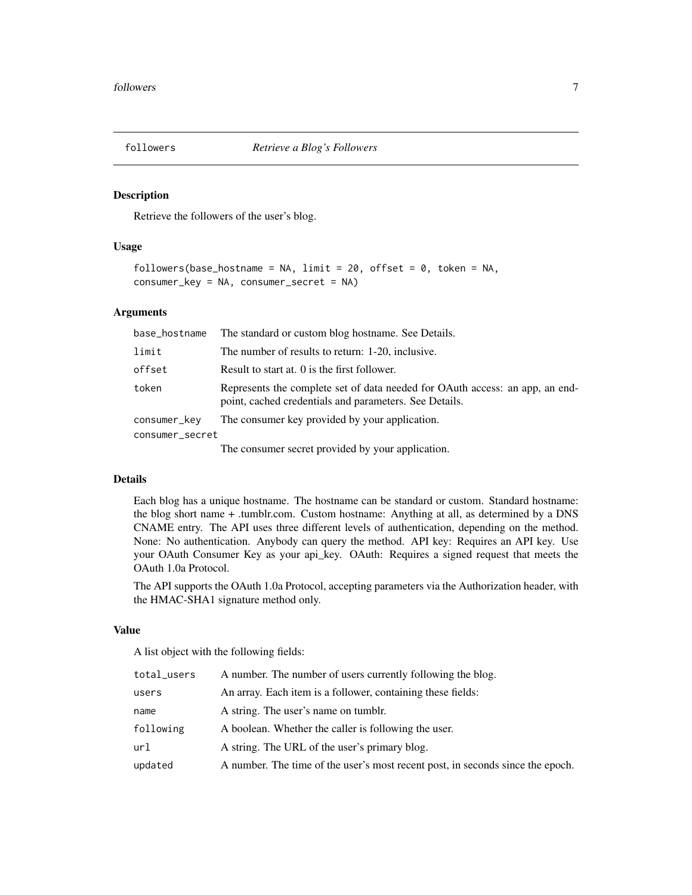<span id="page-6-0"></span>

#### Description

Retrieve the followers of the user's blog.

# Usage

```
followers(base_hostname = NA, limit = 20, offset = 0, token = NA,
consumer_key = NA, consumer_secret = NA)
```
#### Arguments

| base_hostname   | The standard or custom blog hostname. See Details.                                                                                     |
|-----------------|----------------------------------------------------------------------------------------------------------------------------------------|
| limit           | The number of results to return: 1-20, inclusive.                                                                                      |
| offset          | Result to start at. 0 is the first follower.                                                                                           |
| token           | Represents the complete set of data needed for OAuth access: an app, an end-<br>point, cached credentials and parameters. See Details. |
| consumer_key    | The consumer key provided by your application.                                                                                         |
| consumer_secret |                                                                                                                                        |
|                 | The consumer secret provided by your application.                                                                                      |

# Details

Each blog has a unique hostname. The hostname can be standard or custom. Standard hostname: the blog short name + .tumblr.com. Custom hostname: Anything at all, as determined by a DNS CNAME entry. The API uses three different levels of authentication, depending on the method. None: No authentication. Anybody can query the method. API key: Requires an API key. Use your OAuth Consumer Key as your api\_key. OAuth: Requires a signed request that meets the OAuth 1.0a Protocol.

The API supports the OAuth 1.0a Protocol, accepting parameters via the Authorization header, with the HMAC-SHA1 signature method only.

# Value

A list object with the following fields:

| total_users | A number. The number of users currently following the blog.                    |
|-------------|--------------------------------------------------------------------------------|
| users       | An array. Each item is a follower, containing these fields:                    |
| name        | A string. The user's name on tumble.                                           |
| following   | A boolean. Whether the caller is following the user.                           |
| url         | A string. The URL of the user's primary blog.                                  |
| updated     | A number. The time of the user's most recent post, in seconds since the epoch. |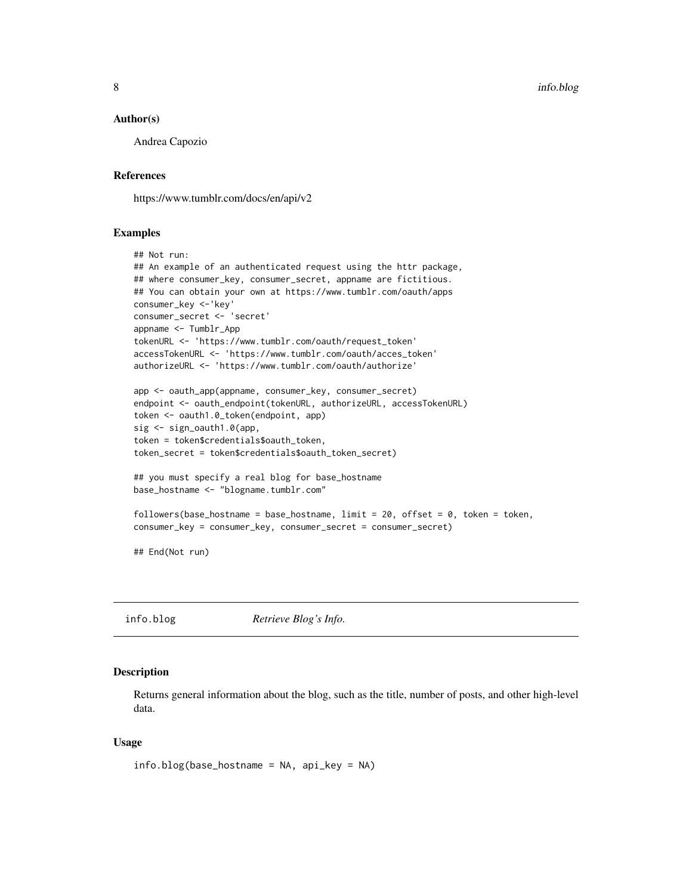#### <span id="page-7-0"></span>Author(s)

Andrea Capozio

#### References

https://www.tumblr.com/docs/en/api/v2

#### Examples

```
## Not run:
## An example of an authenticated request using the httr package,
## where consumer_key, consumer_secret, appname are fictitious.
## You can obtain your own at https://www.tumblr.com/oauth/apps
consumer_key <-'key'
consumer_secret <- 'secret'
appname <- Tumblr_App
tokenURL <- 'https://www.tumblr.com/oauth/request_token'
accessTokenURL <- 'https://www.tumblr.com/oauth/acces_token'
authorizeURL <- 'https://www.tumblr.com/oauth/authorize'
app <- oauth_app(appname, consumer_key, consumer_secret)
```

```
endpoint <- oauth_endpoint(tokenURL, authorizeURL, accessTokenURL)
token <- oauth1.0_token(endpoint, app)
sig <- sign_oauth1.0(app,
token = token$credentials$oauth_token,
token_secret = token$credentials$oauth_token_secret)
```

```
## you must specify a real blog for base_hostname
base_hostname <- "blogname.tumblr.com"
```

```
followers(base_hostname = base_hostname, limit = 20, offset = 0, token = token,
consumer_key = consumer_key, consumer_secret = consumer_secret)
```
## End(Not run)

info.blog *Retrieve Blog's Info.*

# Description

Returns general information about the blog, such as the title, number of posts, and other high-level data.

## Usage

```
info.blog(base_hostname = NA, api_key = NA)
```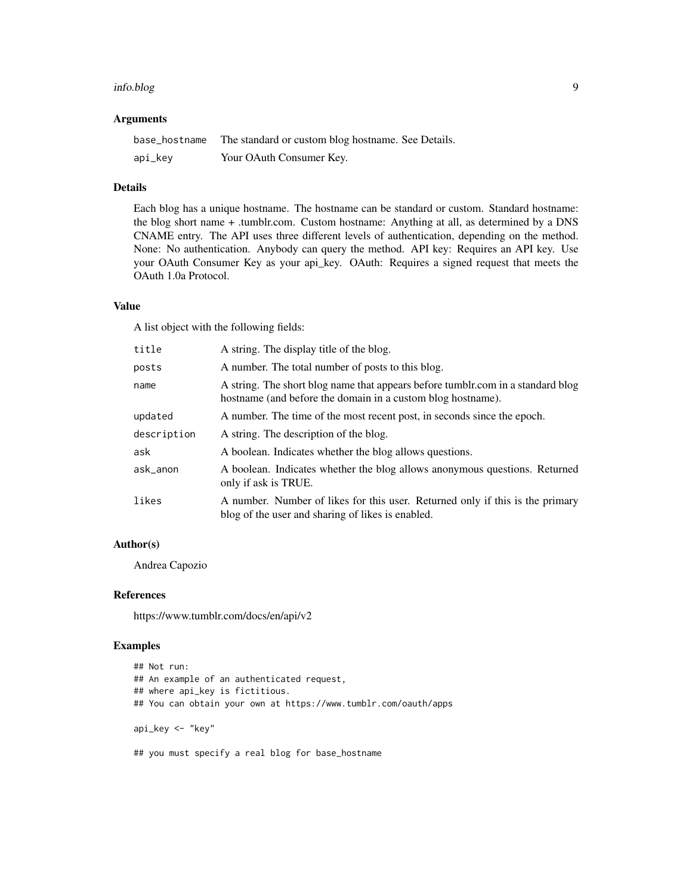#### info.blog 9

# Arguments

| base_hostname | The standard or custom blog hostname. See Details. |
|---------------|----------------------------------------------------|
| api_key       | Your OAuth Consumer Key.                           |

# Details

Each blog has a unique hostname. The hostname can be standard or custom. Standard hostname: the blog short name + .tumblr.com. Custom hostname: Anything at all, as determined by a DNS CNAME entry. The API uses three different levels of authentication, depending on the method. None: No authentication. Anybody can query the method. API key: Requires an API key. Use your OAuth Consumer Key as your api\_key. OAuth: Requires a signed request that meets the OAuth 1.0a Protocol.

# Value

A list object with the following fields:

| title       | A string. The display title of the blog.                                                                                                       |
|-------------|------------------------------------------------------------------------------------------------------------------------------------------------|
| posts       | A number. The total number of posts to this blog.                                                                                              |
| name        | A string. The short blog name that appears before tumblr.com in a standard blog<br>hostname (and before the domain in a custom blog hostname). |
| updated     | A number. The time of the most recent post, in seconds since the epoch.                                                                        |
| description | A string. The description of the blog.                                                                                                         |
| ask         | A boolean. Indicates whether the blog allows questions.                                                                                        |
| ask_anon    | A boolean. Indicates whether the blog allows anonymous questions. Returned<br>only if ask is TRUE.                                             |
| likes       | A number. Number of likes for this user. Returned only if this is the primary<br>blog of the user and sharing of likes is enabled.             |

# Author(s)

Andrea Capozio

#### References

https://www.tumblr.com/docs/en/api/v2

# Examples

```
## Not run:
## An example of an authenticated request,
## where api_key is fictitious.
## You can obtain your own at https://www.tumblr.com/oauth/apps
api_key <- "key"
## you must specify a real blog for base_hostname
```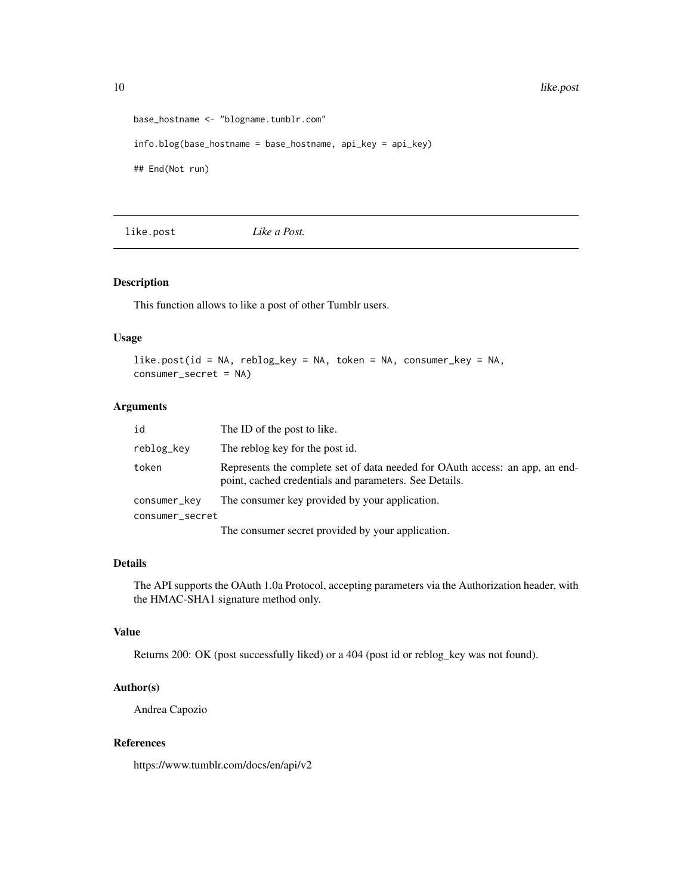<span id="page-9-0"></span>10 like.post

```
base_hostname <- "blogname.tumblr.com"
info.blog(base_hostname = base_hostname, api_key = api_key)
## End(Not run)
```
like.post *Like a Post.*

#### Description

This function allows to like a post of other Tumblr users.

# Usage

```
like.post(id = NA, reblog_key = NA, token = NA, consumer_key = NA,
consumer_secret = NA)
```
# Arguments

| id              | The ID of the post to like.                                                                                                            |
|-----------------|----------------------------------------------------------------------------------------------------------------------------------------|
| reblog_key      | The reblog key for the post id.                                                                                                        |
| token           | Represents the complete set of data needed for OAuth access: an app, an end-<br>point, cached credentials and parameters. See Details. |
| consumer_kev    | The consumer key provided by your application.                                                                                         |
| consumer_secret |                                                                                                                                        |
|                 | The consumer secret provided by your application.                                                                                      |

# Details

The API supports the OAuth 1.0a Protocol, accepting parameters via the Authorization header, with the HMAC-SHA1 signature method only.

# Value

Returns 200: OK (post successfully liked) or a 404 (post id or reblog\_key was not found).

# Author(s)

Andrea Capozio

## References

https://www.tumblr.com/docs/en/api/v2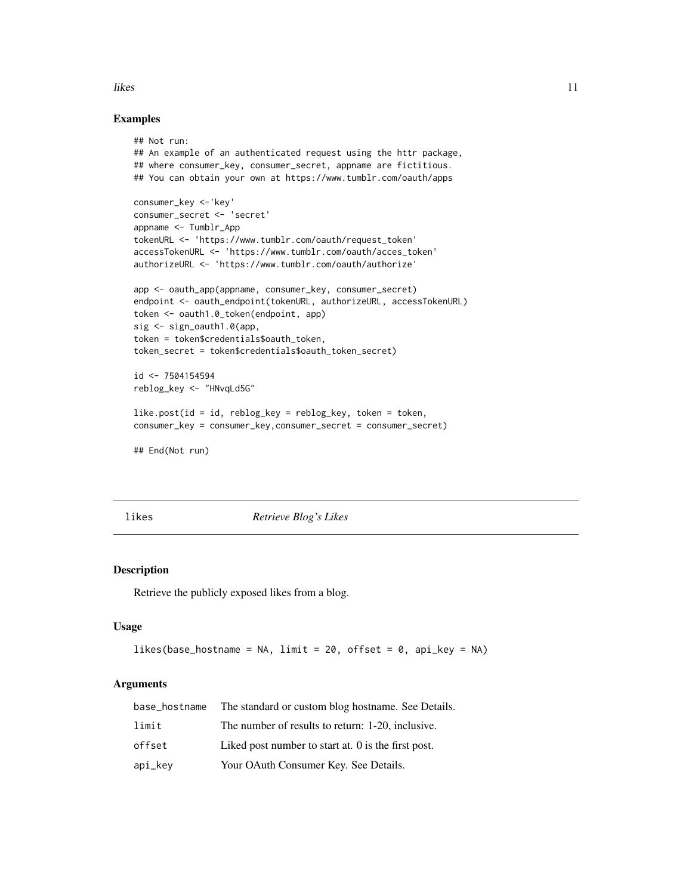#### <span id="page-10-0"></span>likes and the state of the state of the state of the state of the state of the state of the state of the state of the state of the state of the state of the state of the state of the state of the state of the state of the

# Examples

```
## Not run:
## An example of an authenticated request using the httr package,
## where consumer_key, consumer_secret, appname are fictitious.
## You can obtain your own at https://www.tumblr.com/oauth/apps
consumer_key <-'key'
consumer_secret <- 'secret'
appname <- Tumblr_App
tokenURL <- 'https://www.tumblr.com/oauth/request_token'
accessTokenURL <- 'https://www.tumblr.com/oauth/acces_token'
authorizeURL <- 'https://www.tumblr.com/oauth/authorize'
app <- oauth_app(appname, consumer_key, consumer_secret)
endpoint <- oauth_endpoint(tokenURL, authorizeURL, accessTokenURL)
token <- oauth1.0_token(endpoint, app)
sig <- sign_oauth1.0(app,
token = token$credentials$oauth_token,
token_secret = token$credentials$oauth_token_secret)
id <- 7504154594
reblog_key <- "HNvqLd5G"
like.post(id = id, reblog_key = reblog_key, token = token,
consumer_key = consumer_key,consumer_secret = consumer_secret)
## End(Not run)
```
likes *Retrieve Blog's Likes*

#### Description

Retrieve the publicly exposed likes from a blog.

# Usage

```
likes(base_hostname = NA, limit = 20, offset = 0, api_key = NA)
```
# Arguments

| base_hostname | The standard or custom blog hostname. See Details.        |
|---------------|-----------------------------------------------------------|
| limit         | The number of results to return: 1-20, inclusive.         |
| offset        | Liked post number to start at $\theta$ is the first post. |
| api_key       | Your OAuth Consumer Key. See Details.                     |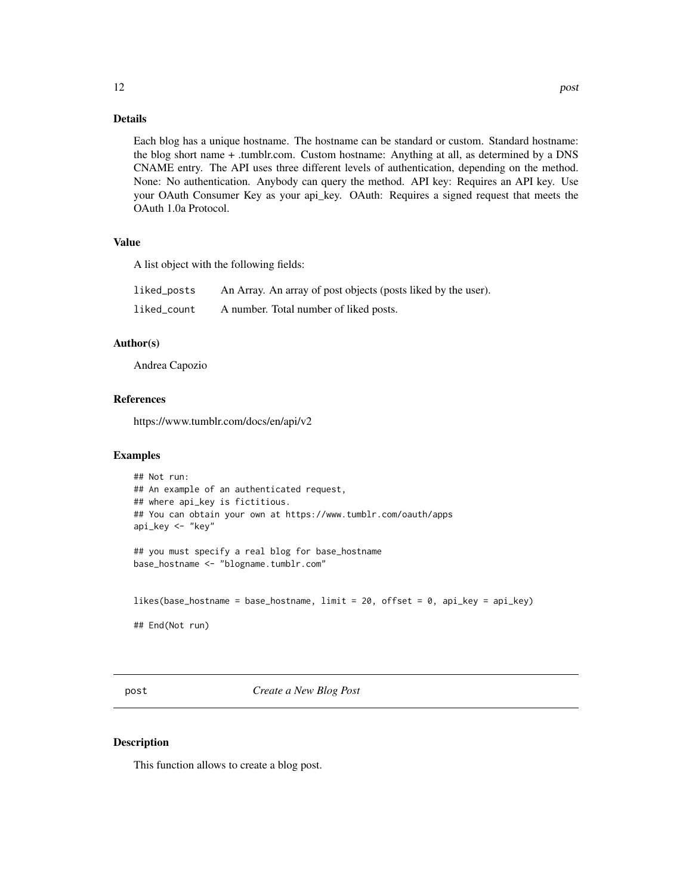<span id="page-11-0"></span>Each blog has a unique hostname. The hostname can be standard or custom. Standard hostname: the blog short name + .tumblr.com. Custom hostname: Anything at all, as determined by a DNS CNAME entry. The API uses three different levels of authentication, depending on the method. None: No authentication. Anybody can query the method. API key: Requires an API key. Use your OAuth Consumer Key as your api\_key. OAuth: Requires a signed request that meets the OAuth 1.0a Protocol.

#### Value

A list object with the following fields:

| liked_posts | An Array. An array of post objects (posts liked by the user). |
|-------------|---------------------------------------------------------------|
| liked count | A number. Total number of liked posts.                        |

# Author(s)

Andrea Capozio

### References

https://www.tumblr.com/docs/en/api/v2

#### Examples

```
## Not run:
## An example of an authenticated request,
## where api_key is fictitious.
## You can obtain your own at https://www.tumblr.com/oauth/apps
api_key <- "key"
## you must specify a real blog for base_hostname
base_hostname <- "blogname.tumblr.com"
likes(base_hostname = base_hostname, limit = 20, offset = 0, api_key = api_key)
```
## End(Not run)

post *Create a New Blog Post*

#### Description

This function allows to create a blog post.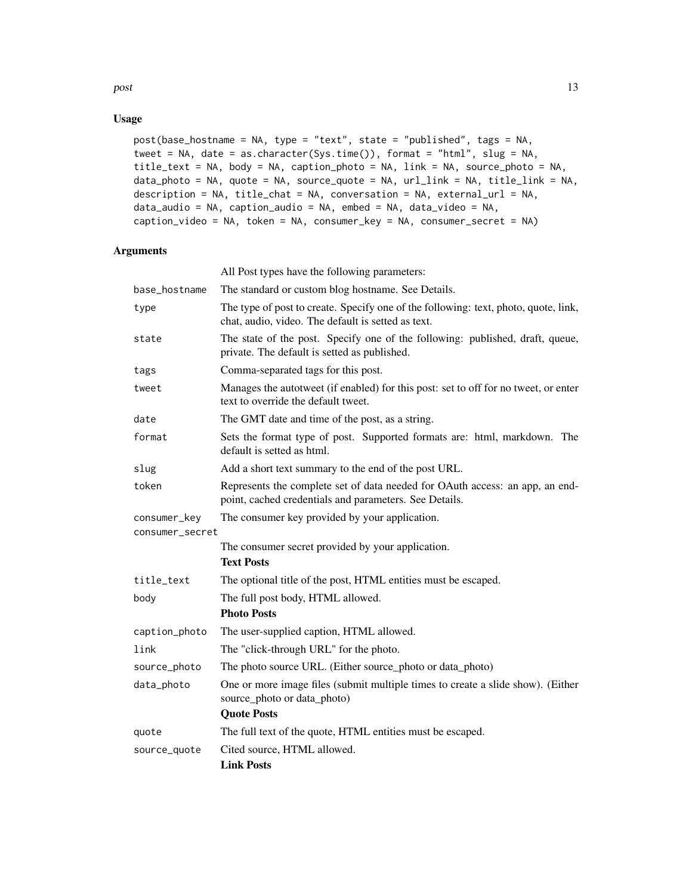$\eta$  post to the set of the set of the set of the set of the set of the set of the set of the set of the set of the set of the set of the set of the set of the set of the set of the set of the set of the set of the set of

# Usage

```
post(base_hostname = NA, type = "text", state = "published", tags = NA,
tweet = NA, date = as.character(Sys.time()), format = "html", slug = NA,
title_text = NA, body = NA, caption_photo = NA, link = NA, source_photo = NA,
data_photo = NA, quote = NA, source_quote = NA, url_link = NA, title_link = NA,
description = NA, title_chat = NA, conversation = NA, external_url = NA,
data_audio = NA, caption_audio = NA, embed = NA, data_video = NA,
caption_video = NA, token = NA, consumer_key = NA, consumer_secret = NA)
```
# Arguments

|                                 | All Post types have the following parameters:                                                                                             |
|---------------------------------|-------------------------------------------------------------------------------------------------------------------------------------------|
| base_hostname                   | The standard or custom blog hostname. See Details.                                                                                        |
| type                            | The type of post to create. Specify one of the following: text, photo, quote, link,<br>chat, audio, video. The default is setted as text. |
| state                           | The state of the post. Specify one of the following: published, draft, queue,<br>private. The default is setted as published.             |
| tags                            | Comma-separated tags for this post.                                                                                                       |
| tweet                           | Manages the autotweet (if enabled) for this post: set to off for no tweet, or enter<br>text to override the default tweet.                |
| date                            | The GMT date and time of the post, as a string.                                                                                           |
| format                          | Sets the format type of post. Supported formats are: html, markdown. The<br>default is setted as html.                                    |
| slug                            | Add a short text summary to the end of the post URL.                                                                                      |
| token                           | Represents the complete set of data needed for OAuth access: an app, an end-<br>point, cached credentials and parameters. See Details.    |
| consumer_key<br>consumer_secret | The consumer key provided by your application.                                                                                            |
|                                 | The consumer secret provided by your application.<br><b>Text Posts</b>                                                                    |
| title_text                      | The optional title of the post, HTML entities must be escaped.                                                                            |
| body                            | The full post body, HTML allowed.<br><b>Photo Posts</b>                                                                                   |
| caption_photo                   | The user-supplied caption, HTML allowed.                                                                                                  |
| link                            | The "click-through URL" for the photo.                                                                                                    |
| source_photo                    | The photo source URL. (Either source_photo or data_photo)                                                                                 |
| data_photo                      | One or more image files (submit multiple times to create a slide show). (Either<br>source_photo or data_photo)                            |
|                                 | <b>Quote Posts</b>                                                                                                                        |
| quote                           | The full text of the quote, HTML entities must be escaped.                                                                                |
| source_quote                    | Cited source, HTML allowed.<br><b>Link Posts</b>                                                                                          |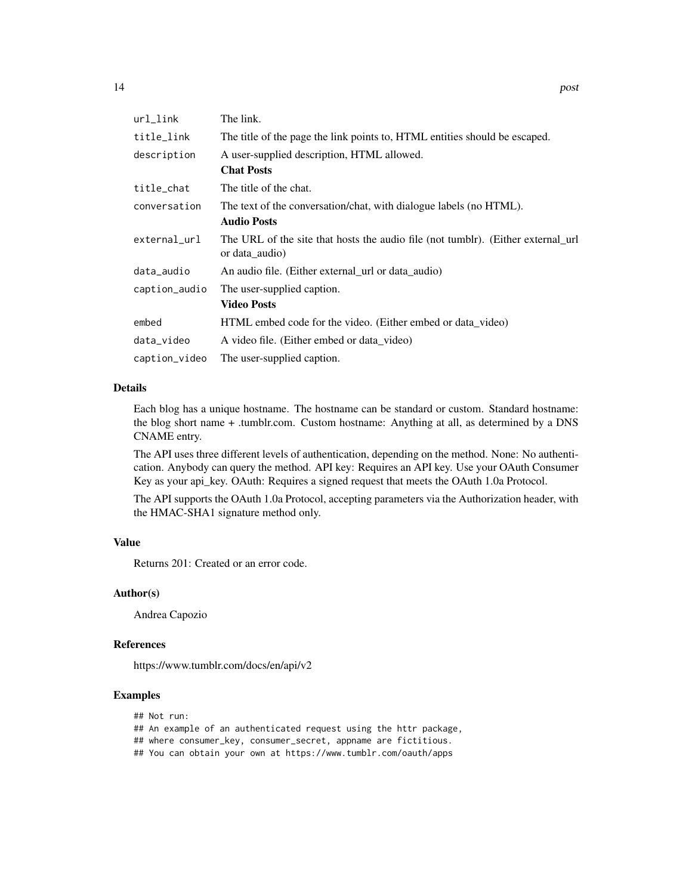| $url_$ ink    | The link.                                                                                          |
|---------------|----------------------------------------------------------------------------------------------------|
| title_link    | The title of the page the link points to, HTML entities should be escaped.                         |
| description   | A user-supplied description, HTML allowed.                                                         |
|               | <b>Chat Posts</b>                                                                                  |
| title_chat    | The title of the chat.                                                                             |
| conversation  | The text of the conversation/chat, with dialogue labels (no HTML).                                 |
|               | <b>Audio Posts</b>                                                                                 |
| external_url  | The URL of the site that hosts the audio file (not tumblr). (Either external url<br>or data_audio) |
| data_audio    | An audio file. (Either external url or data audio)                                                 |
| caption_audio | The user-supplied caption.                                                                         |
|               | <b>Video Posts</b>                                                                                 |
| embed         | HTML embed code for the video. (Either embed or data_video)                                        |
| data_video    | A video file. (Either embed or data_video)                                                         |
| caption_video | The user-supplied caption.                                                                         |

#### Details

Each blog has a unique hostname. The hostname can be standard or custom. Standard hostname: the blog short name + .tumblr.com. Custom hostname: Anything at all, as determined by a DNS CNAME entry.

The API uses three different levels of authentication, depending on the method. None: No authentication. Anybody can query the method. API key: Requires an API key. Use your OAuth Consumer Key as your api\_key. OAuth: Requires a signed request that meets the OAuth 1.0a Protocol.

The API supports the OAuth 1.0a Protocol, accepting parameters via the Authorization header, with the HMAC-SHA1 signature method only.

# Value

Returns 201: Created or an error code.

# Author(s)

Andrea Capozio

## References

https://www.tumblr.com/docs/en/api/v2

# Examples

- ## Not run:
- ## An example of an authenticated request using the httr package,
- ## where consumer\_key, consumer\_secret, appname are fictitious.
- ## You can obtain your own at https://www.tumblr.com/oauth/apps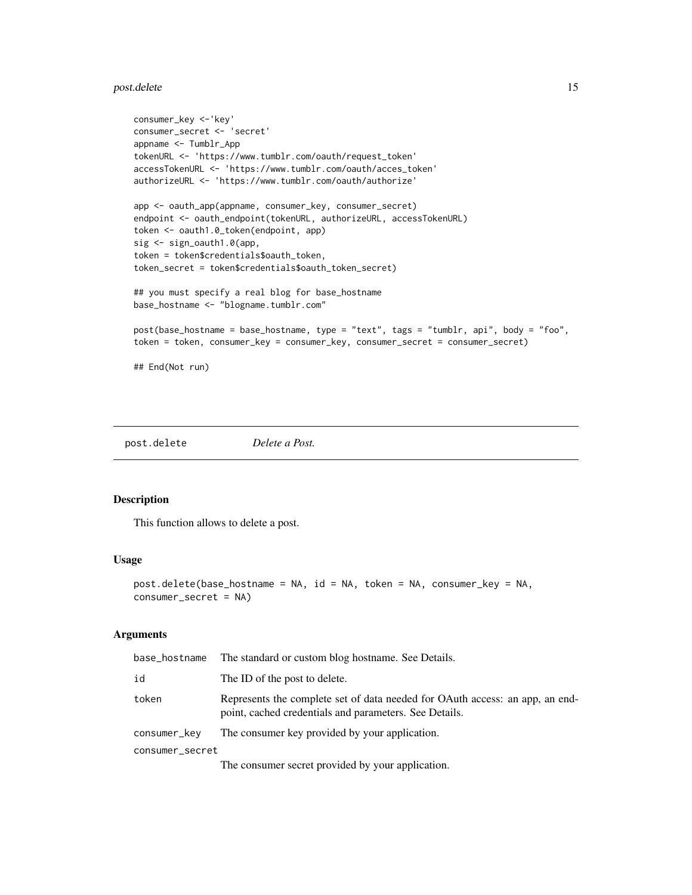#### <span id="page-14-0"></span>post.delete the contract of the contract of the contract of the contract of the contract of the contract of the contract of the contract of the contract of the contract of the contract of the contract of the contract of th

```
consumer_key <-'key'
consumer_secret <- 'secret'
appname <- Tumblr_App
tokenURL <- 'https://www.tumblr.com/oauth/request_token'
accessTokenURL <- 'https://www.tumblr.com/oauth/acces_token'
authorizeURL <- 'https://www.tumblr.com/oauth/authorize'
app <- oauth_app(appname, consumer_key, consumer_secret)
endpoint <- oauth_endpoint(tokenURL, authorizeURL, accessTokenURL)
token <- oauth1.0_token(endpoint, app)
sig <- sign_oauth1.0(app,
token = token$credentials$oauth_token,
token_secret = token$credentials$oauth_token_secret)
## you must specify a real blog for base_hostname
base_hostname <- "blogname.tumblr.com"
post(base_hostname = base_hostname, type = "text", tags = "tumblr, api", body = "foo",
token = token, consumer_key = consumer_key, consumer_secret = consumer_secret)
## End(Not run)
```
post.delete *Delete a Post.*

# Description

This function allows to delete a post.

#### Usage

```
post.delete(base_hostname = NA, id = NA, token = NA, consumer_key = NA,
consumer_secret = NA)
```
# Arguments

| base_hostname   | The standard or custom blog hostname. See Details.                                                                                     |
|-----------------|----------------------------------------------------------------------------------------------------------------------------------------|
| id              | The ID of the post to delete.                                                                                                          |
| token           | Represents the complete set of data needed for OAuth access: an app, an end-<br>point, cached credentials and parameters. See Details. |
| consumer_key    | The consumer key provided by your application.                                                                                         |
| consumer_secret |                                                                                                                                        |
|                 |                                                                                                                                        |

The consumer secret provided by your application.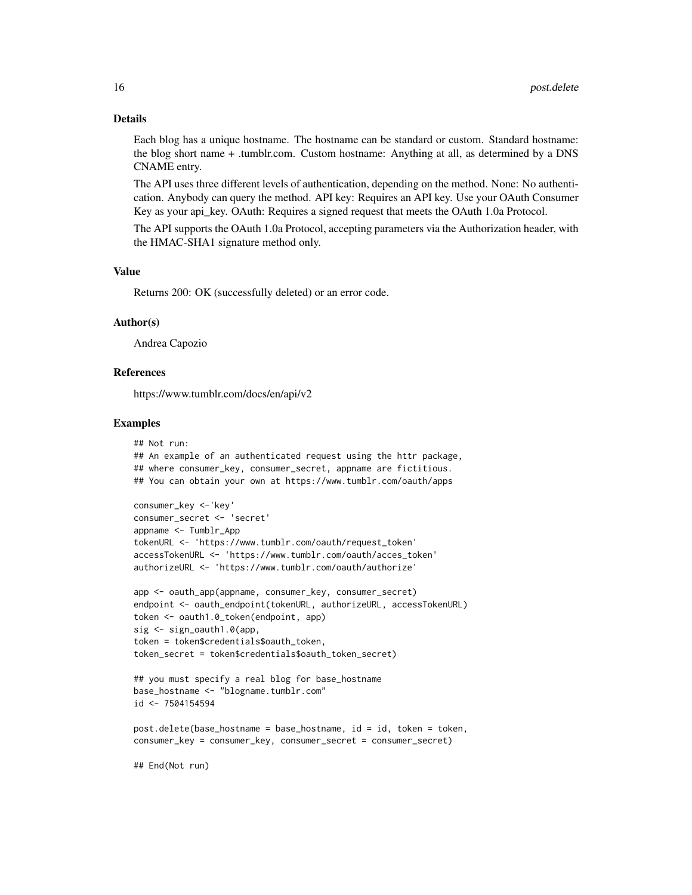#### Details

Each blog has a unique hostname. The hostname can be standard or custom. Standard hostname: the blog short name + .tumblr.com. Custom hostname: Anything at all, as determined by a DNS CNAME entry.

The API uses three different levels of authentication, depending on the method. None: No authentication. Anybody can query the method. API key: Requires an API key. Use your OAuth Consumer Key as your api\_key. OAuth: Requires a signed request that meets the OAuth 1.0a Protocol.

The API supports the OAuth 1.0a Protocol, accepting parameters via the Authorization header, with the HMAC-SHA1 signature method only.

#### Value

Returns 200: OK (successfully deleted) or an error code.

#### Author(s)

Andrea Capozio

# References

https://www.tumblr.com/docs/en/api/v2

#### Examples

```
## Not run:
## An example of an authenticated request using the httr package,
## where consumer_key, consumer_secret, appname are fictitious.
## You can obtain your own at https://www.tumblr.com/oauth/apps
consumer_key <-'key'
consumer_secret <- 'secret'
appname <- Tumblr_App
tokenURL <- 'https://www.tumblr.com/oauth/request_token'
accessTokenURL <- 'https://www.tumblr.com/oauth/acces_token'
authorizeURL <- 'https://www.tumblr.com/oauth/authorize'
app <- oauth_app(appname, consumer_key, consumer_secret)
endpoint <- oauth_endpoint(tokenURL, authorizeURL, accessTokenURL)
token <- oauth1.0_token(endpoint, app)
sig <- sign_oauth1.0(app,
token = token$credentials$oauth_token,
token_secret = token$credentials$oauth_token_secret)
## you must specify a real blog for base_hostname
base_hostname <- "blogname.tumblr.com"
```
id <- 7504154594

```
post.delete(base_hostname = base_hostname, id = id, token = token,
consumer_key = consumer_key, consumer_secret = consumer_secret)
```
## End(Not run)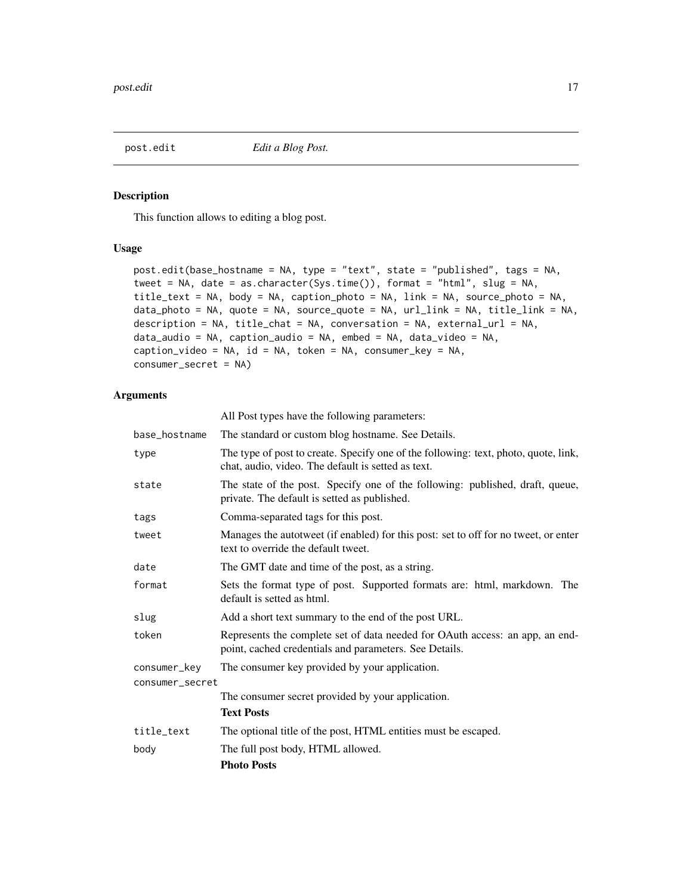<span id="page-16-0"></span>post.edit *Edit a Blog Post.*

# Description

This function allows to editing a blog post.

# Usage

```
post.edit(base_hostname = NA, type = "text", state = "published", tags = NA,
tweet = NA, date = as.character(Sys.time()), format = "html", slug = NA,
title_text = NA, body = NA, caption_photo = NA, link = NA, source_photo = NA,
data_photo = NA, quote = NA, source_quote = NA, url_link = NA, title_link = NA,
description = NA, title_chat = NA, conversation = NA, external_url = NA,
data_audio = NA, caption_audio = NA, embed = NA, data_video = NA,
caption_video = NA, id = NA, token = NA, consumer_key = NA,
consumer_secret = NA)
```
# Arguments

|                 | All Post types have the following parameters:                                                                                             |
|-----------------|-------------------------------------------------------------------------------------------------------------------------------------------|
| base_hostname   | The standard or custom blog hostname. See Details.                                                                                        |
| type            | The type of post to create. Specify one of the following: text, photo, quote, link,<br>chat, audio, video. The default is setted as text. |
| state           | The state of the post. Specify one of the following: published, draft, queue,<br>private. The default is setted as published.             |
| tags            | Comma-separated tags for this post.                                                                                                       |
| tweet           | Manages the autotweet (if enabled) for this post: set to off for no tweet, or enter<br>text to override the default tweet.                |
| date            | The GMT date and time of the post, as a string.                                                                                           |
| format          | Sets the format type of post. Supported formats are: html, markdown. The<br>default is setted as html.                                    |
| slug            | Add a short text summary to the end of the post URL.                                                                                      |
| token           | Represents the complete set of data needed for OAuth access: an app, an end-<br>point, cached credentials and parameters. See Details.    |
| consumer_key    | The consumer key provided by your application.                                                                                            |
| consumer_secret |                                                                                                                                           |
|                 | The consumer secret provided by your application.                                                                                         |
|                 | <b>Text Posts</b>                                                                                                                         |
| title_text      | The optional title of the post, HTML entities must be escaped.                                                                            |
| body            | The full post body, HTML allowed.                                                                                                         |
|                 | <b>Photo Posts</b>                                                                                                                        |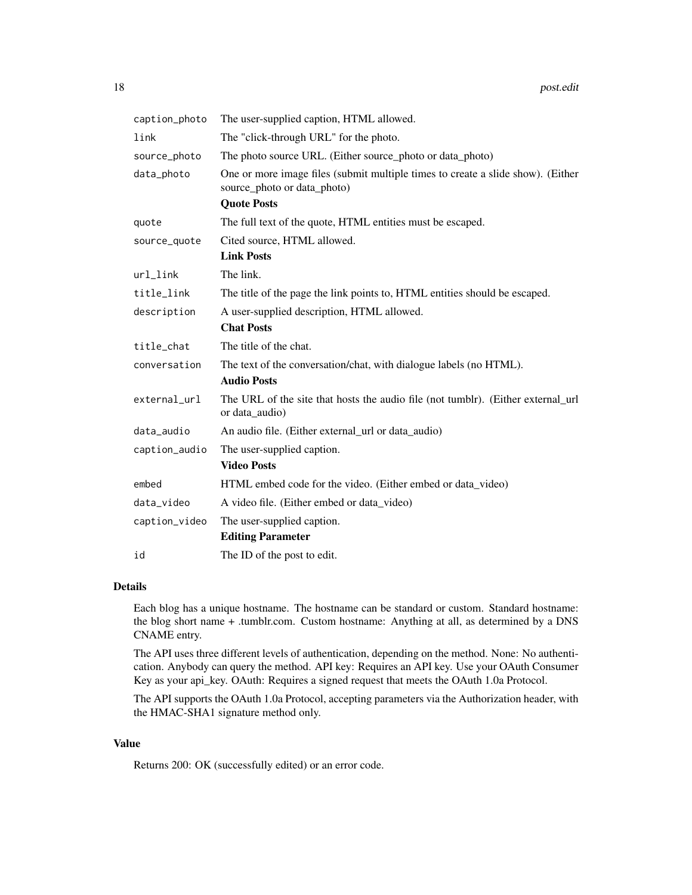| caption_photo | The user-supplied caption, HTML allowed.                                                                       |
|---------------|----------------------------------------------------------------------------------------------------------------|
| link          | The "click-through URL" for the photo.                                                                         |
| source_photo  | The photo source URL. (Either source_photo or data_photo)                                                      |
| data_photo    | One or more image files (submit multiple times to create a slide show). (Either<br>source_photo or data_photo) |
|               | <b>Quote Posts</b>                                                                                             |
| quote         | The full text of the quote, HTML entities must be escaped.                                                     |
| source_quote  | Cited source, HTML allowed.                                                                                    |
|               | <b>Link Posts</b>                                                                                              |
| $url_link$    | The link.                                                                                                      |
| title_link    | The title of the page the link points to, HTML entities should be escaped.                                     |
| description   | A user-supplied description, HTML allowed.                                                                     |
|               | <b>Chat Posts</b>                                                                                              |
| title_chat    | The title of the chat.                                                                                         |
| conversation  | The text of the conversation/chat, with dialogue labels (no HTML).                                             |
|               | <b>Audio Posts</b>                                                                                             |
| external_url  | The URL of the site that hosts the audio file (not tumblr). (Either external_url<br>or data_audio)             |
| data_audio    | An audio file. (Either external_url or data_audio)                                                             |
| caption_audio | The user-supplied caption.                                                                                     |
|               | <b>Video Posts</b>                                                                                             |
| embed         | HTML embed code for the video. (Either embed or data_video)                                                    |
| data_video    | A video file. (Either embed or data_video)                                                                     |
| caption_video | The user-supplied caption.                                                                                     |
|               | <b>Editing Parameter</b>                                                                                       |
| id            | The ID of the post to edit.                                                                                    |

#### Details

Each blog has a unique hostname. The hostname can be standard or custom. Standard hostname: the blog short name + .tumblr.com. Custom hostname: Anything at all, as determined by a DNS CNAME entry.

The API uses three different levels of authentication, depending on the method. None: No authentication. Anybody can query the method. API key: Requires an API key. Use your OAuth Consumer Key as your api\_key. OAuth: Requires a signed request that meets the OAuth 1.0a Protocol.

The API supports the OAuth 1.0a Protocol, accepting parameters via the Authorization header, with the HMAC-SHA1 signature method only.

# Value

Returns 200: OK (successfully edited) or an error code.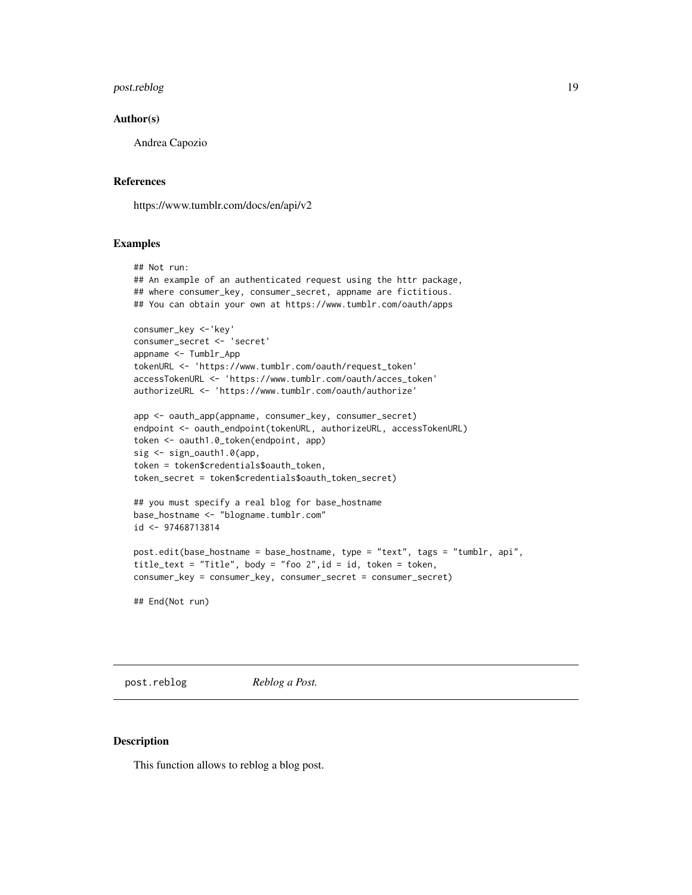#### <span id="page-18-0"></span>post.reblog 19

#### Author(s)

Andrea Capozio

#### References

https://www.tumblr.com/docs/en/api/v2

# Examples

```
## Not run:
## An example of an authenticated request using the httr package,
## where consumer_key, consumer_secret, appname are fictitious.
## You can obtain your own at https://www.tumblr.com/oauth/apps
consumer_key <-'key'
consumer_secret <- 'secret'
appname <- Tumblr_App
tokenURL <- 'https://www.tumblr.com/oauth/request_token'
accessTokenURL <- 'https://www.tumblr.com/oauth/acces_token'
authorizeURL <- 'https://www.tumblr.com/oauth/authorize'
app <- oauth_app(appname, consumer_key, consumer_secret)
endpoint <- oauth_endpoint(tokenURL, authorizeURL, accessTokenURL)
token <- oauth1.0_token(endpoint, app)
sig <- sign_oauth1.0(app,
token = token$credentials$oauth_token,
token_secret = token$credentials$oauth_token_secret)
## you must specify a real blog for base_hostname
base_hostname <- "blogname.tumblr.com"
id <- 97468713814
post.edit(base_hostname = base_hostname, type = "text", tags = "tumblr, api",
title_text = "Title", body = "foo 2",id = id, token = token,
consumer_key = consumer_key, consumer_secret = consumer_secret)
```
## End(Not run)

post.reblog *Reblog a Post.*

#### Description

This function allows to reblog a blog post.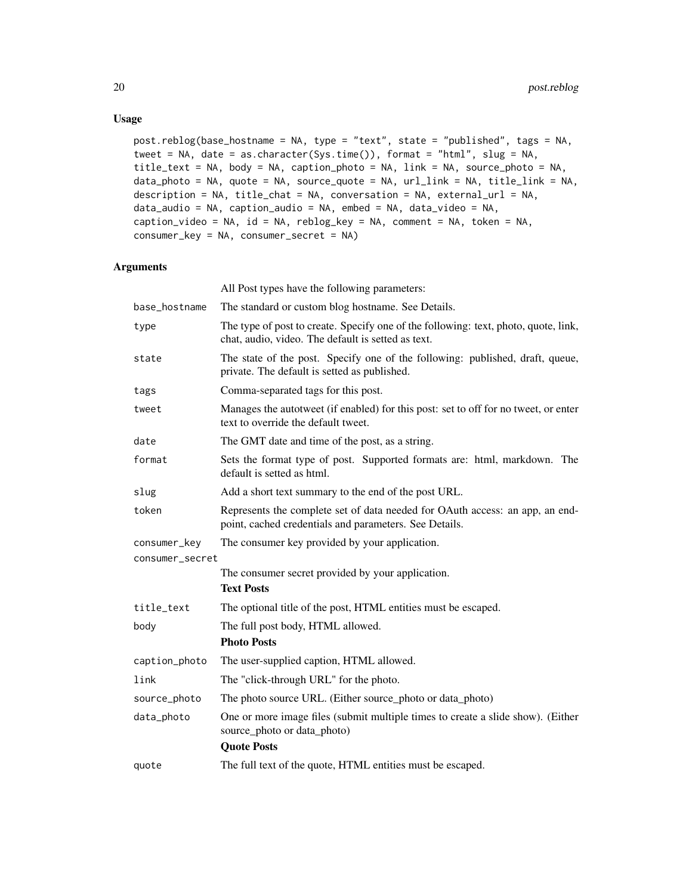# Usage

```
post.reblog(base_hostname = NA, type = "text", state = "published", tags = NA,
tweet = NA, date = as.character(Sys.time()), format = "html", slug = NA,
title_text = NA, body = NA, caption_photo = NA, link = NA, source_photo = NA,
data_photo = NA, quote = NA, source_quote = NA, url_link = NA, title_link = NA,
description = NA, title_chat = NA, conversation = NA, external_url = NA,
data_audio = NA, caption_audio = NA, embed = NA, data_video = NA,
caption_video = NA, id = NA, reblog_key = NA, comment = NA, token = NA,
consumer_key = NA, consumer_secret = NA)
```
# Arguments

|                 | All Post types have the following parameters:                                                                                             |
|-----------------|-------------------------------------------------------------------------------------------------------------------------------------------|
| base_hostname   | The standard or custom blog hostname. See Details.                                                                                        |
| type            | The type of post to create. Specify one of the following: text, photo, quote, link,<br>chat, audio, video. The default is setted as text. |
| state           | The state of the post. Specify one of the following: published, draft, queue,<br>private. The default is setted as published.             |
| tags            | Comma-separated tags for this post.                                                                                                       |
| tweet           | Manages the autotweet (if enabled) for this post: set to off for no tweet, or enter<br>text to override the default tweet.                |
| date            | The GMT date and time of the post, as a string.                                                                                           |
| format          | Sets the format type of post. Supported formats are: html, markdown. The<br>default is setted as html.                                    |
| slug            | Add a short text summary to the end of the post URL.                                                                                      |
| token           | Represents the complete set of data needed for OAuth access: an app, an end-<br>point, cached credentials and parameters. See Details.    |
| consumer_key    | The consumer key provided by your application.                                                                                            |
| consumer_secret |                                                                                                                                           |
|                 | The consumer secret provided by your application.                                                                                         |
|                 | <b>Text Posts</b>                                                                                                                         |
| title_text      | The optional title of the post, HTML entities must be escaped.                                                                            |
| body            | The full post body, HTML allowed.                                                                                                         |
|                 | <b>Photo Posts</b>                                                                                                                        |
| caption_photo   | The user-supplied caption, HTML allowed.                                                                                                  |
| link            | The "click-through URL" for the photo.                                                                                                    |
| source_photo    | The photo source URL. (Either source_photo or data_photo)                                                                                 |
| data_photo      | One or more image files (submit multiple times to create a slide show). (Either<br>source_photo or data_photo)                            |
|                 | <b>Quote Posts</b>                                                                                                                        |
| quote           | The full text of the quote, HTML entities must be escaped.                                                                                |
|                 |                                                                                                                                           |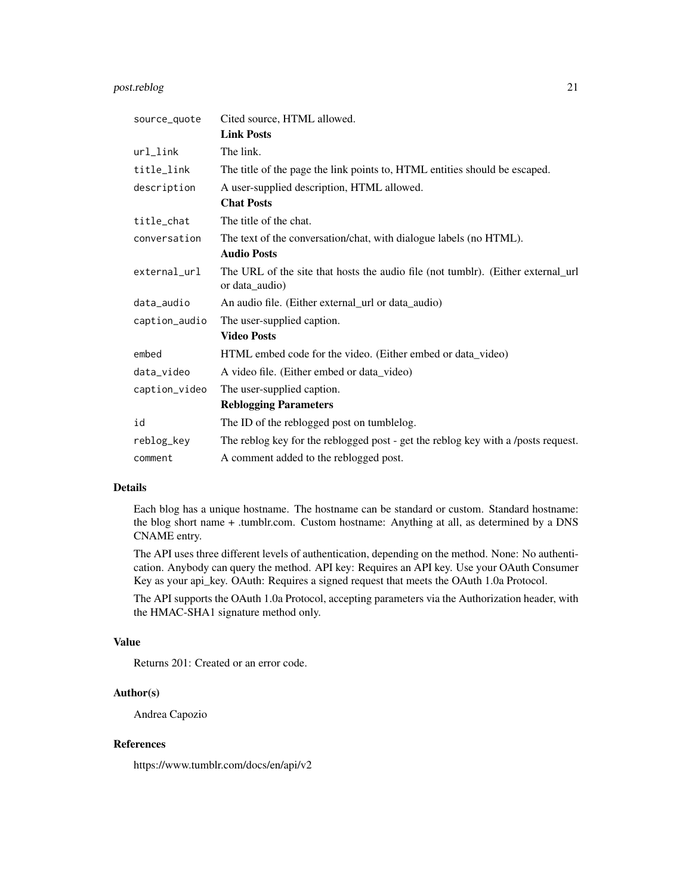# post.reblog 21

| source_quote  | Cited source, HTML allowed.                                                                        |
|---------------|----------------------------------------------------------------------------------------------------|
|               | <b>Link Posts</b>                                                                                  |
| url_link      | The link.                                                                                          |
| title_link    | The title of the page the link points to, HTML entities should be escaped.                         |
| description   | A user-supplied description, HTML allowed.                                                         |
|               | <b>Chat Posts</b>                                                                                  |
| title_chat    | The title of the chat.                                                                             |
| conversation  | The text of the conversation/chat, with dialogue labels (no HTML).                                 |
|               | <b>Audio Posts</b>                                                                                 |
| external_url  | The URL of the site that hosts the audio file (not tumblr). (Either external_url<br>or data_audio) |
| data_audio    | An audio file. (Either external_url or data_audio)                                                 |
| caption_audio | The user-supplied caption.                                                                         |
|               | <b>Video Posts</b>                                                                                 |
| embed         | HTML embed code for the video. (Either embed or data_video)                                        |
| data_video    | A video file. (Either embed or data_video)                                                         |
| caption_video | The user-supplied caption.                                                                         |
|               | <b>Reblogging Parameters</b>                                                                       |
| id            | The ID of the reblogged post on tumblelog.                                                         |
| reblog_key    | The reblog key for the reblogged post - get the reblog key with a /posts request.                  |
| comment       | A comment added to the reblogged post.                                                             |

# Details

Each blog has a unique hostname. The hostname can be standard or custom. Standard hostname: the blog short name + .tumblr.com. Custom hostname: Anything at all, as determined by a DNS CNAME entry.

The API uses three different levels of authentication, depending on the method. None: No authentication. Anybody can query the method. API key: Requires an API key. Use your OAuth Consumer Key as your api\_key. OAuth: Requires a signed request that meets the OAuth 1.0a Protocol.

The API supports the OAuth 1.0a Protocol, accepting parameters via the Authorization header, with the HMAC-SHA1 signature method only.

# Value

Returns 201: Created or an error code.

# Author(s)

Andrea Capozio

# References

https://www.tumblr.com/docs/en/api/v2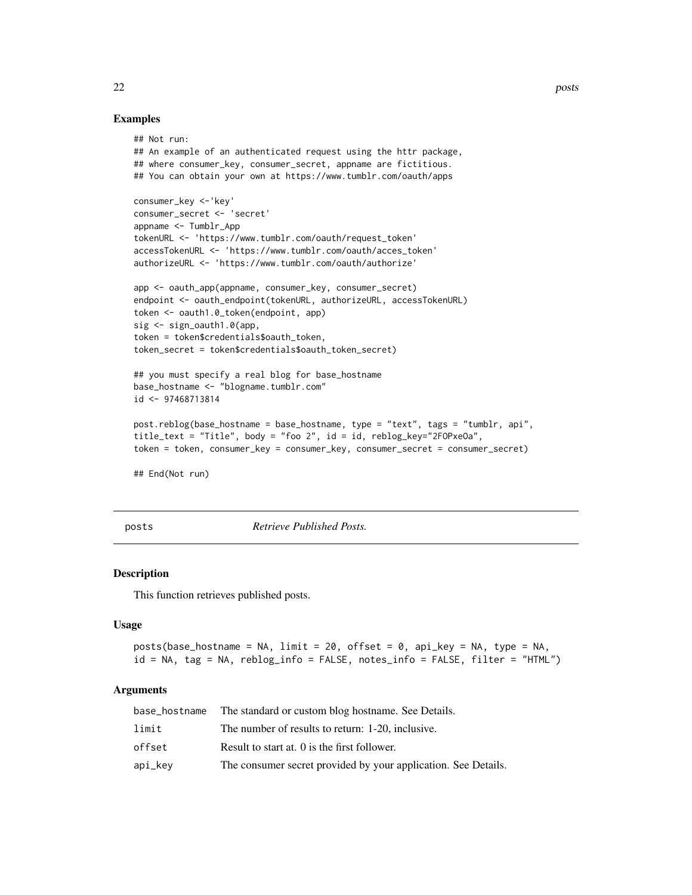# Examples

```
## Not run:
## An example of an authenticated request using the httr package,
## where consumer_key, consumer_secret, appname are fictitious.
## You can obtain your own at https://www.tumblr.com/oauth/apps
consumer_key <-'key'
consumer_secret <- 'secret'
appname <- Tumblr_App
tokenURL <- 'https://www.tumblr.com/oauth/request_token'
accessTokenURL <- 'https://www.tumblr.com/oauth/acces_token'
authorizeURL <- 'https://www.tumblr.com/oauth/authorize'
app <- oauth_app(appname, consumer_key, consumer_secret)
endpoint <- oauth_endpoint(tokenURL, authorizeURL, accessTokenURL)
token <- oauth1.0_token(endpoint, app)
sig <- sign_oauth1.0(app,
token = token$credentials$oauth_token,
token_secret = token$credentials$oauth_token_secret)
## you must specify a real blog for base_hostname
base_hostname <- "blogname.tumblr.com"
id <- 97468713814
post.reblog(base_hostname = base_hostname, type = "text", tags = "tumblr, api",
title_text = "Title", body = "foo 2", id = id, reblog_key="2FOPxeOa",
token = token, consumer_key = consumer_key, consumer_secret = consumer_secret)
## End(Not run)
```
posts *Retrieve Published Posts.*

#### Description

This function retrieves published posts.

#### Usage

```
posts(base_hostname = NA, limit = 20, offset = 0, api_key = NA, type = NA,
id = NA, tag = NA, reblog_info = FALSE, notes_info = FALSE, filter = "HTML")
```
# Arguments

| base_hostname | The standard or custom blog hostname. See Details.             |
|---------------|----------------------------------------------------------------|
| limit         | The number of results to return: 1-20, inclusive.              |
| offset        | Result to start at. 0 is the first follower.                   |
| api_kev       | The consumer secret provided by your application. See Details. |

<span id="page-21-0"></span>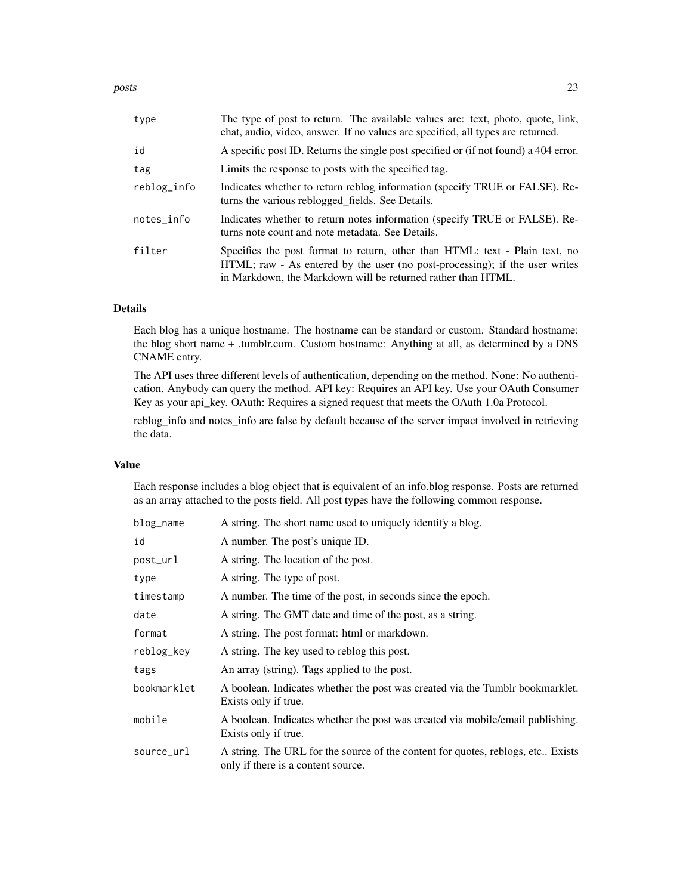| type        | The type of post to return. The available values are: text, photo, quote, link,<br>chat, audio, video, answer. If no values are specified, all types are returned.                                                         |
|-------------|----------------------------------------------------------------------------------------------------------------------------------------------------------------------------------------------------------------------------|
| id          | A specific post ID. Returns the single post specified or (if not found) a 404 error.                                                                                                                                       |
| tag         | Limits the response to posts with the specified tag.                                                                                                                                                                       |
| reblog_info | Indicates whether to return reblog information (specify TRUE or FALSE). Re-<br>turns the various reblogged fields. See Details.                                                                                            |
| notes_info  | Indicates whether to return notes information (specify TRUE or FALSE). Re-<br>turns note count and note metadata. See Details.                                                                                             |
| filter      | Specifies the post format to return, other than HTML: text - Plain text, no<br>HTML; raw - As entered by the user (no post-processing); if the user writes<br>in Markdown, the Markdown will be returned rather than HTML. |

# Details

Each blog has a unique hostname. The hostname can be standard or custom. Standard hostname: the blog short name + .tumblr.com. Custom hostname: Anything at all, as determined by a DNS CNAME entry.

The API uses three different levels of authentication, depending on the method. None: No authentication. Anybody can query the method. API key: Requires an API key. Use your OAuth Consumer Key as your api\_key. OAuth: Requires a signed request that meets the OAuth 1.0a Protocol.

reblog\_info and notes\_info are false by default because of the server impact involved in retrieving the data.

# Value

Each response includes a blog object that is equivalent of an info.blog response. Posts are returned as an array attached to the posts field. All post types have the following common response.

| blog_name   | A string. The short name used to uniquely identify a blog.                                                            |
|-------------|-----------------------------------------------------------------------------------------------------------------------|
| id          | A number. The post's unique ID.                                                                                       |
| post_url    | A string. The location of the post.                                                                                   |
| type        | A string. The type of post.                                                                                           |
| timestamp   | A number. The time of the post, in seconds since the epoch.                                                           |
| date        | A string. The GMT date and time of the post, as a string.                                                             |
| format      | A string. The post format: html or markdown.                                                                          |
| reblog_key  | A string. The key used to reblog this post.                                                                           |
| tags        | An array (string). Tags applied to the post.                                                                          |
| bookmarklet | A boolean. Indicates whether the post was created via the Tumblr bookmarklet.<br>Exists only if true.                 |
| mobile      | A boolean. Indicates whether the post was created via mobile/email publishing.<br>Exists only if true.                |
| source_url  | A string. The URL for the source of the content for quotes, reblogs, etc Exists<br>only if there is a content source. |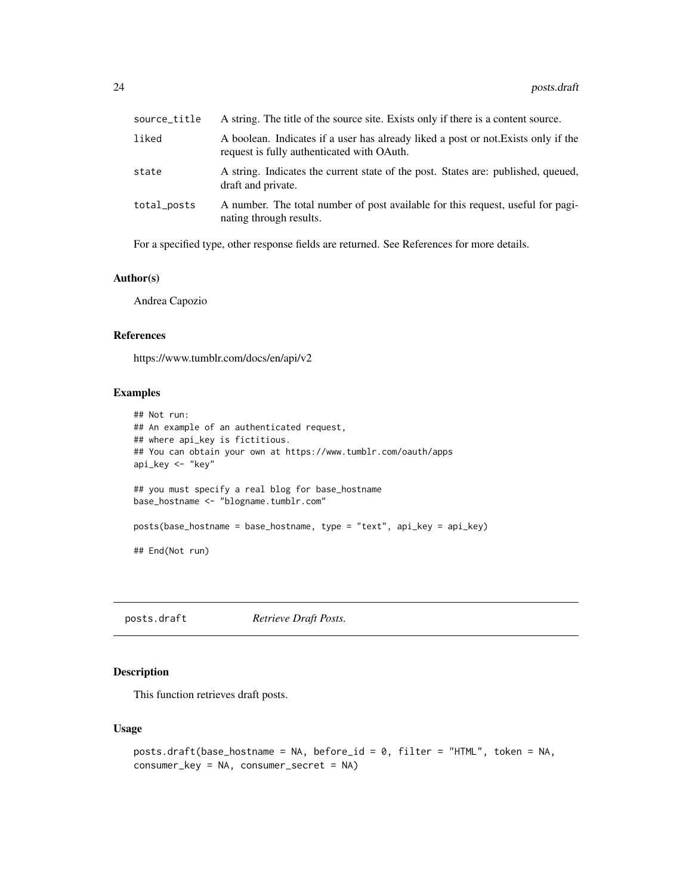<span id="page-23-0"></span>

| source_title | A string. The title of the source site. Exists only if there is a content source.                                                |
|--------------|----------------------------------------------------------------------------------------------------------------------------------|
| liked        | A boolean. Indicates if a user has already liked a post or not. Exists only if the<br>request is fully authenticated with OAuth. |
| state        | A string. Indicates the current state of the post. States are: published, queued,<br>draft and private.                          |
| total_posts  | A number. The total number of post available for this request, useful for pagi-<br>nating through results.                       |

For a specified type, other response fields are returned. See References for more details.

# Author(s)

Andrea Capozio

# References

https://www.tumblr.com/docs/en/api/v2

# Examples

```
## Not run:
## An example of an authenticated request,
## where api_key is fictitious.
## You can obtain your own at https://www.tumblr.com/oauth/apps
api_key <- "key"
## you must specify a real blog for base_hostname
base_hostname <- "blogname.tumblr.com"
posts(base_hostname = base_hostname, type = "text", api_key = api_key)
## End(Not run)
```
posts.draft *Retrieve Draft Posts.*

# Description

This function retrieves draft posts.

# Usage

```
posts.draft(base_hostname = NA, before_id = 0, filter = "HTML", token = NA,
consumer_key = NA, consumer_secret = NA)
```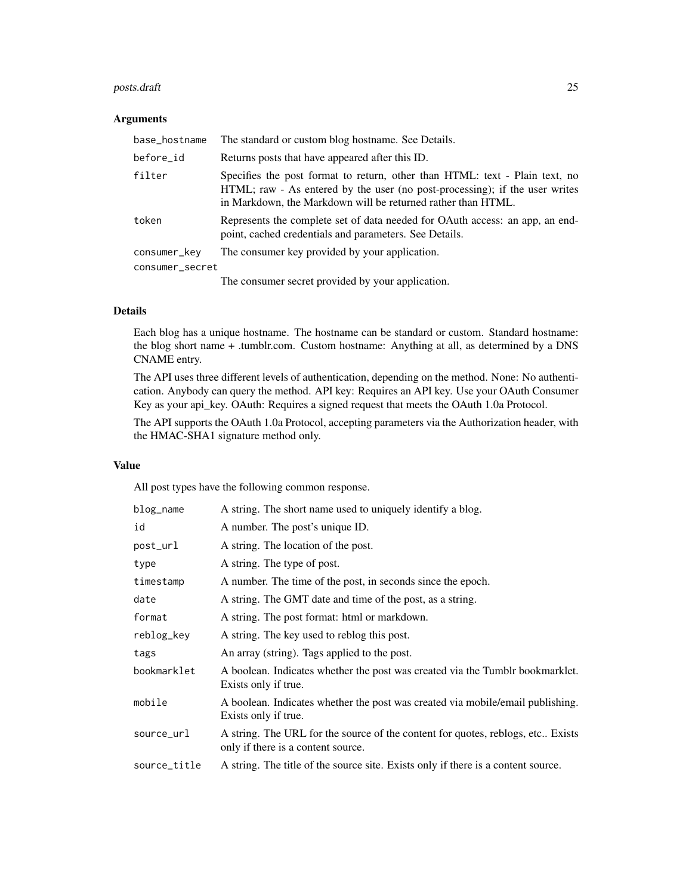# posts.draft 25

# Arguments

| base_hostname   | The standard or custom blog hostname. See Details.                                                                                                                                                                         |
|-----------------|----------------------------------------------------------------------------------------------------------------------------------------------------------------------------------------------------------------------------|
| before_id       | Returns posts that have appeared after this ID.                                                                                                                                                                            |
| filter          | Specifies the post format to return, other than HTML: text - Plain text, no<br>HTML; raw - As entered by the user (no post-processing); if the user writes<br>in Markdown, the Markdown will be returned rather than HTML. |
| token           | Represents the complete set of data needed for OAuth access: an app, an end-<br>point, cached credentials and parameters. See Details.                                                                                     |
| consumer_key    | The consumer key provided by your application.                                                                                                                                                                             |
| consumer_secret |                                                                                                                                                                                                                            |
|                 | The consumer secret provided by your application.                                                                                                                                                                          |

# Details

Each blog has a unique hostname. The hostname can be standard or custom. Standard hostname: the blog short name + .tumblr.com. Custom hostname: Anything at all, as determined by a DNS CNAME entry.

The API uses three different levels of authentication, depending on the method. None: No authentication. Anybody can query the method. API key: Requires an API key. Use your OAuth Consumer Key as your api\_key. OAuth: Requires a signed request that meets the OAuth 1.0a Protocol.

The API supports the OAuth 1.0a Protocol, accepting parameters via the Authorization header, with the HMAC-SHA1 signature method only.

# Value

All post types have the following common response.

| blog_name    | A string. The short name used to uniquely identify a blog.                                                            |
|--------------|-----------------------------------------------------------------------------------------------------------------------|
| id           | A number. The post's unique ID.                                                                                       |
| post_url     | A string. The location of the post.                                                                                   |
| type         | A string. The type of post.                                                                                           |
| timestamp    | A number. The time of the post, in seconds since the epoch.                                                           |
| date         | A string. The GMT date and time of the post, as a string.                                                             |
| format       | A string. The post format: html or markdown.                                                                          |
| reblog_key   | A string. The key used to reblog this post.                                                                           |
| tags         | An array (string). Tags applied to the post.                                                                          |
| bookmarklet  | A boolean. Indicates whether the post was created via the Tumblr bookmarklet.<br>Exists only if true.                 |
| mobile       | A boolean. Indicates whether the post was created via mobile/email publishing.<br>Exists only if true.                |
| source_url   | A string. The URL for the source of the content for quotes, reblogs, etc Exists<br>only if there is a content source. |
| source_title | A string. The title of the source site. Exists only if there is a content source.                                     |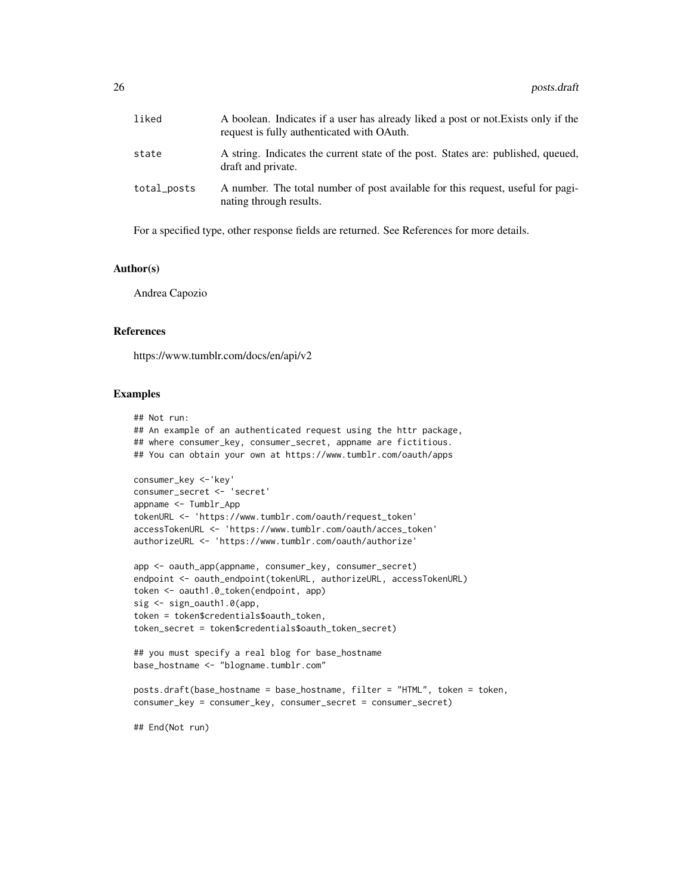| liked       | A boolean. Indicates if a user has already liked a post or not. Exists only if the<br>request is fully authenticated with OAuth. |
|-------------|----------------------------------------------------------------------------------------------------------------------------------|
| state       | A string. Indicates the current state of the post. States are: published, queued,<br>draft and private.                          |
| total_posts | A number. The total number of post available for this request, useful for pagi-<br>nating through results.                       |

For a specified type, other response fields are returned. See References for more details.

# Author(s)

Andrea Capozio

#### References

https://www.tumblr.com/docs/en/api/v2

#### Examples

```
## Not run:
## An example of an authenticated request using the httr package,
## where consumer_key, consumer_secret, appname are fictitious.
## You can obtain your own at https://www.tumblr.com/oauth/apps
consumer_key <-'key'
consumer_secret <- 'secret'
appname <- Tumblr_App
tokenURL <- 'https://www.tumblr.com/oauth/request_token'
accessTokenURL <- 'https://www.tumblr.com/oauth/acces_token'
authorizeURL <- 'https://www.tumblr.com/oauth/authorize'
app <- oauth_app(appname, consumer_key, consumer_secret)
endpoint <- oauth_endpoint(tokenURL, authorizeURL, accessTokenURL)
token <- oauth1.0_token(endpoint, app)
sig <- sign_oauth1.0(app,
token = token$credentials$oauth_token,
token_secret = token$credentials$oauth_token_secret)
## you must specify a real blog for base_hostname
base_hostname <- "blogname.tumblr.com"
posts.draft(base_hostname = base_hostname, filter = "HTML", token = token,
consumer_key = consumer_key, consumer_secret = consumer_secret)
```
## End(Not run)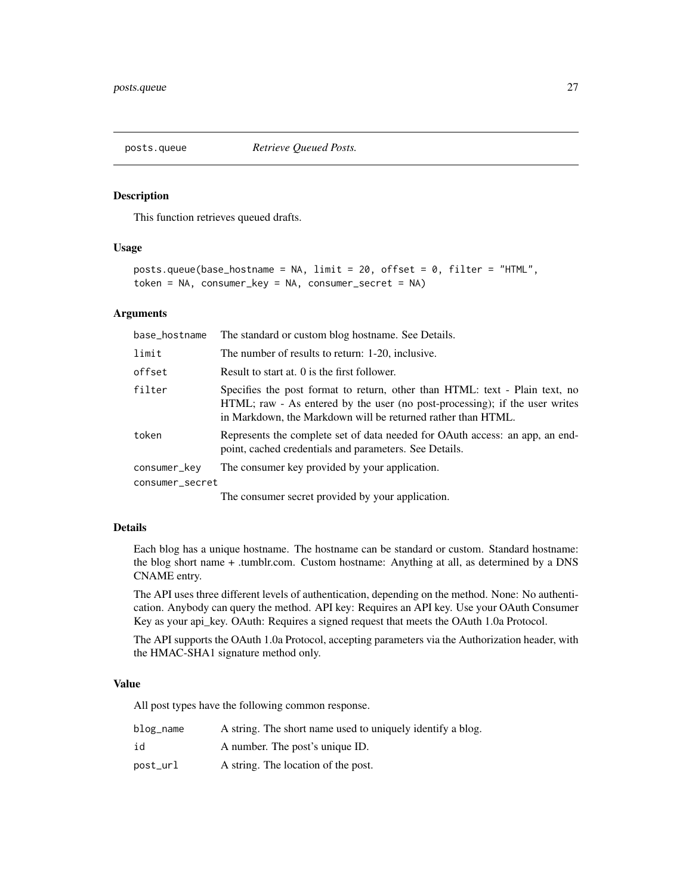<span id="page-26-0"></span>

#### Description

This function retrieves queued drafts.

# Usage

```
posts.queue(base_hostname = NA, limit = 20, offset = 0, filter = "HTML",
token = NA, consumer_key = NA, consumer_secret = NA)
```
#### Arguments

| base_hostname   | The standard or custom blog hostname. See Details.                                                                                                                                                                         |
|-----------------|----------------------------------------------------------------------------------------------------------------------------------------------------------------------------------------------------------------------------|
| limit           | The number of results to return: 1-20, inclusive.                                                                                                                                                                          |
| offset          | Result to start at. 0 is the first follower.                                                                                                                                                                               |
| filter          | Specifies the post format to return, other than HTML: text - Plain text, no<br>HTML; raw - As entered by the user (no post-processing); if the user writes<br>in Markdown, the Markdown will be returned rather than HTML. |
| token           | Represents the complete set of data needed for OAuth access: an app, an end-<br>point, cached credentials and parameters. See Details.                                                                                     |
| consumer_key    | The consumer key provided by your application.                                                                                                                                                                             |
| consumer_secret |                                                                                                                                                                                                                            |

The consumer secret provided by your application.

# Details

Each blog has a unique hostname. The hostname can be standard or custom. Standard hostname: the blog short name + .tumblr.com. Custom hostname: Anything at all, as determined by a DNS CNAME entry.

The API uses three different levels of authentication, depending on the method. None: No authentication. Anybody can query the method. API key: Requires an API key. Use your OAuth Consumer Key as your api\_key. OAuth: Requires a signed request that meets the OAuth 1.0a Protocol.

The API supports the OAuth 1.0a Protocol, accepting parameters via the Authorization header, with the HMAC-SHA1 signature method only.

# Value

All post types have the following common response.

| blog_name | A string. The short name used to uniquely identify a blog. |
|-----------|------------------------------------------------------------|
| id        | A number. The post's unique ID.                            |
| post_url  | A string. The location of the post.                        |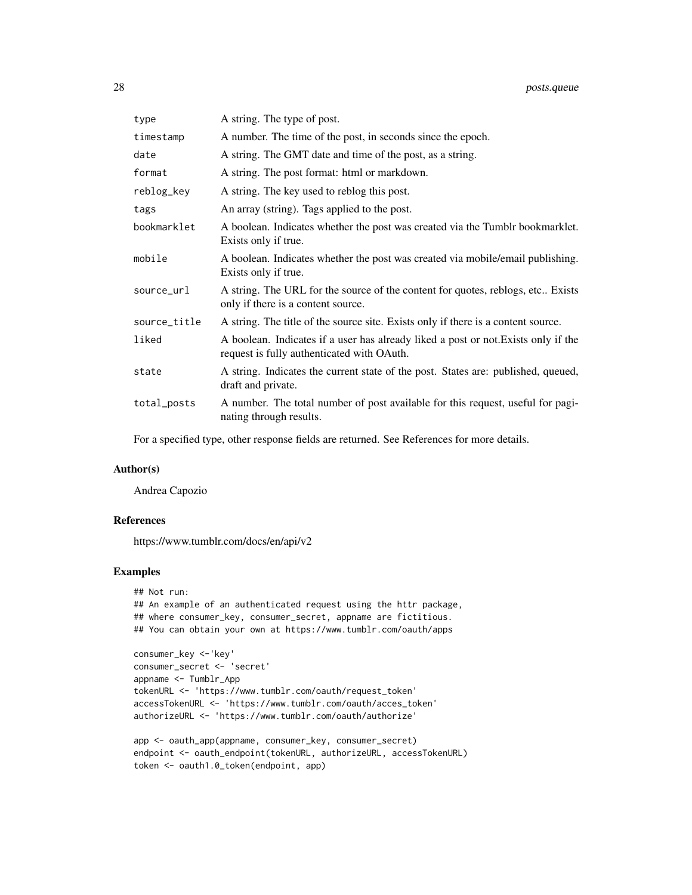| type         | A string. The type of post.                                                                                                      |
|--------------|----------------------------------------------------------------------------------------------------------------------------------|
| timestamp    | A number. The time of the post, in seconds since the epoch.                                                                      |
| date         | A string. The GMT date and time of the post, as a string.                                                                        |
| format       | A string. The post format: html or markdown.                                                                                     |
| reblog_key   | A string. The key used to reblog this post.                                                                                      |
| tags         | An array (string). Tags applied to the post.                                                                                     |
| bookmarklet  | A boolean. Indicates whether the post was created via the Tumblr bookmarklet.<br>Exists only if true.                            |
| mobile       | A boolean. Indicates whether the post was created via mobile/email publishing.<br>Exists only if true.                           |
| source_url   | A string. The URL for the source of the content for quotes, reblogs, etc Exists<br>only if there is a content source.            |
| source_title | A string. The title of the source site. Exists only if there is a content source.                                                |
| liked        | A boolean. Indicates if a user has already liked a post or not. Exists only if the<br>request is fully authenticated with OAuth. |
| state        | A string. Indicates the current state of the post. States are: published, queued,<br>draft and private.                          |
| total_posts  | A number. The total number of post available for this request, useful for pagi-<br>nating through results.                       |

For a specified type, other response fields are returned. See References for more details.

# Author(s)

Andrea Capozio

# References

https://www.tumblr.com/docs/en/api/v2

# Examples

```
## Not run:
## An example of an authenticated request using the httr package,
## where consumer_key, consumer_secret, appname are fictitious.
## You can obtain your own at https://www.tumblr.com/oauth/apps
consumer_key <-'key'
consumer_secret <- 'secret'
appname <- Tumblr_App
tokenURL <- 'https://www.tumblr.com/oauth/request_token'
accessTokenURL <- 'https://www.tumblr.com/oauth/acces_token'
```
authorizeURL <- 'https://www.tumblr.com/oauth/authorize'

```
app <- oauth_app(appname, consumer_key, consumer_secret)
endpoint <- oauth_endpoint(tokenURL, authorizeURL, accessTokenURL)
token <- oauth1.0_token(endpoint, app)
```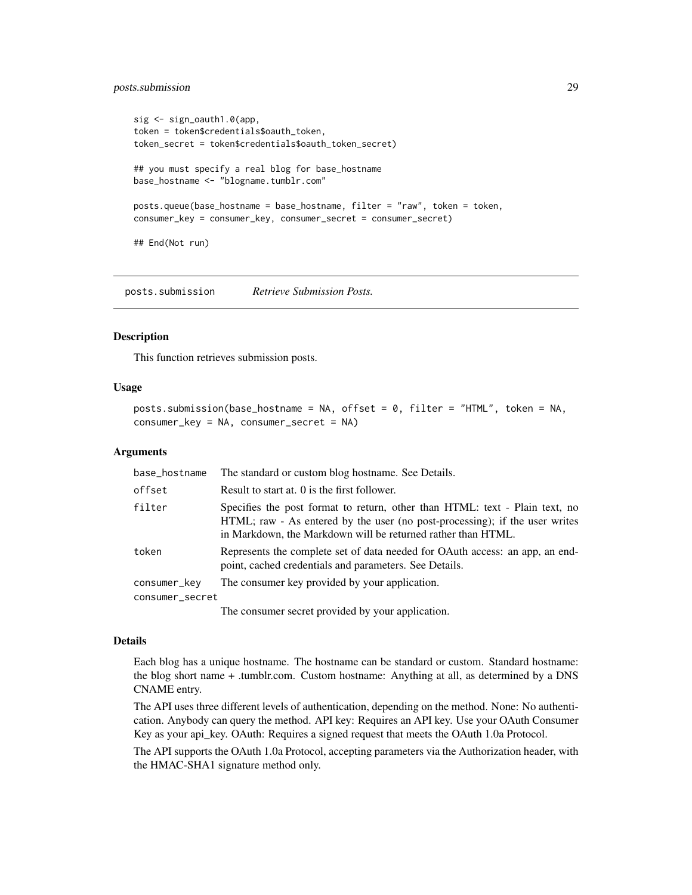# <span id="page-28-0"></span>posts.submission 29

```
sig <- sign_oauth1.0(app,
token = token$credentials$oauth_token,
token_secret = token$credentials$oauth_token_secret)
## you must specify a real blog for base_hostname
base_hostname <- "blogname.tumblr.com"
posts.queue(base_hostname = base_hostname, filter = "raw", token = token,
consumer_key = consumer_key, consumer_secret = consumer_secret)
## End(Not run)
```
posts.submission *Retrieve Submission Posts.*

#### Description

This function retrieves submission posts.

# Usage

```
posts.submission(base_hostname = NA, offset = 0, filter = "HTML", token = NA,
consumer_key = NA, consumer_secret = NA)
```
# Arguments

| base_hostname   | The standard or custom blog hostname. See Details.                                                                                                                                                                         |
|-----------------|----------------------------------------------------------------------------------------------------------------------------------------------------------------------------------------------------------------------------|
| offset          | Result to start at. 0 is the first follower.                                                                                                                                                                               |
| filter          | Specifies the post format to return, other than HTML: text - Plain text, no<br>HTML; raw - As entered by the user (no post-processing); if the user writes<br>in Markdown, the Markdown will be returned rather than HTML. |
| token           | Represents the complete set of data needed for OAuth access: an app, an end-<br>point, cached credentials and parameters. See Details.                                                                                     |
| consumer_key    | The consumer key provided by your application.                                                                                                                                                                             |
| consumer_secret |                                                                                                                                                                                                                            |
|                 | The consumer secret provided by your application.                                                                                                                                                                          |

#### Details

Each blog has a unique hostname. The hostname can be standard or custom. Standard hostname: the blog short name + .tumblr.com. Custom hostname: Anything at all, as determined by a DNS CNAME entry.

The API uses three different levels of authentication, depending on the method. None: No authentication. Anybody can query the method. API key: Requires an API key. Use your OAuth Consumer Key as your api\_key. OAuth: Requires a signed request that meets the OAuth 1.0a Protocol.

The API supports the OAuth 1.0a Protocol, accepting parameters via the Authorization header, with the HMAC-SHA1 signature method only.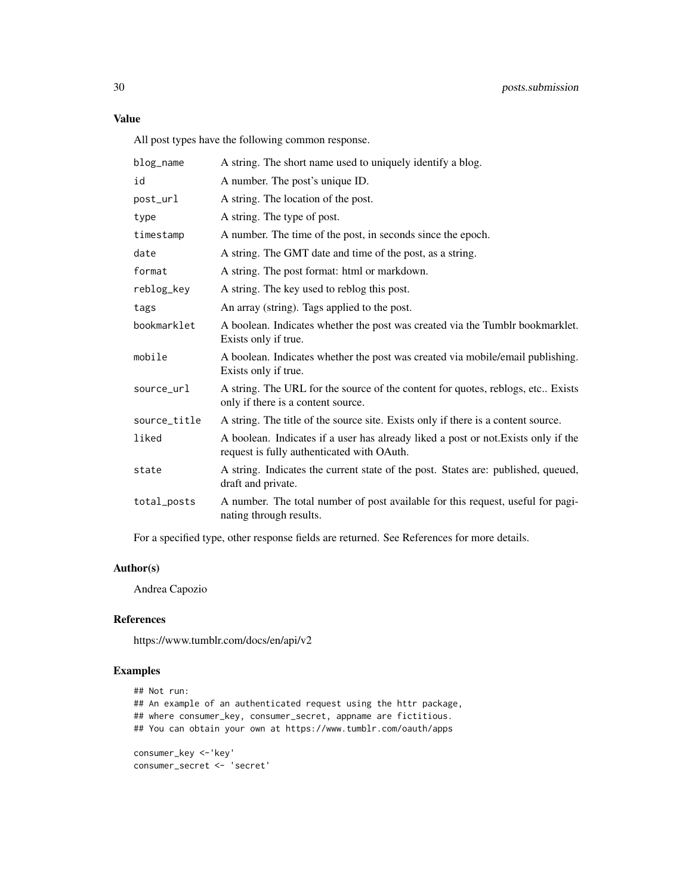# Value

All post types have the following common response.

| blog_name    | A string. The short name used to uniquely identify a blog.                                                                       |
|--------------|----------------------------------------------------------------------------------------------------------------------------------|
| id           | A number. The post's unique ID.                                                                                                  |
| post_url     | A string. The location of the post.                                                                                              |
| type         | A string. The type of post.                                                                                                      |
| timestamp    | A number. The time of the post, in seconds since the epoch.                                                                      |
| date         | A string. The GMT date and time of the post, as a string.                                                                        |
| format       | A string. The post format: html or markdown.                                                                                     |
| reblog_key   | A string. The key used to reblog this post.                                                                                      |
| tags         | An array (string). Tags applied to the post.                                                                                     |
| bookmarklet  | A boolean. Indicates whether the post was created via the Tumblr bookmarklet.<br>Exists only if true.                            |
| mobile       | A boolean. Indicates whether the post was created via mobile/email publishing.<br>Exists only if true.                           |
| source_url   | A string. The URL for the source of the content for quotes, reblogs, etc Exists<br>only if there is a content source.            |
| source_title | A string. The title of the source site. Exists only if there is a content source.                                                |
| liked        | A boolean. Indicates if a user has already liked a post or not. Exists only if the<br>request is fully authenticated with OAuth. |
| state        | A string. Indicates the current state of the post. States are: published, queued,<br>draft and private.                          |
| total_posts  | A number. The total number of post available for this request, useful for pagi-<br>nating through results.                       |
|              |                                                                                                                                  |

For a specified type, other response fields are returned. See References for more details.

# Author(s)

Andrea Capozio

# References

https://www.tumblr.com/docs/en/api/v2

# Examples

```
## Not run:
## An example of an authenticated request using the httr package,
## where consumer_key, consumer_secret, appname are fictitious.
## You can obtain your own at https://www.tumblr.com/oauth/apps
consumer_key <-'key'
```

```
consumer_secret <- 'secret'
```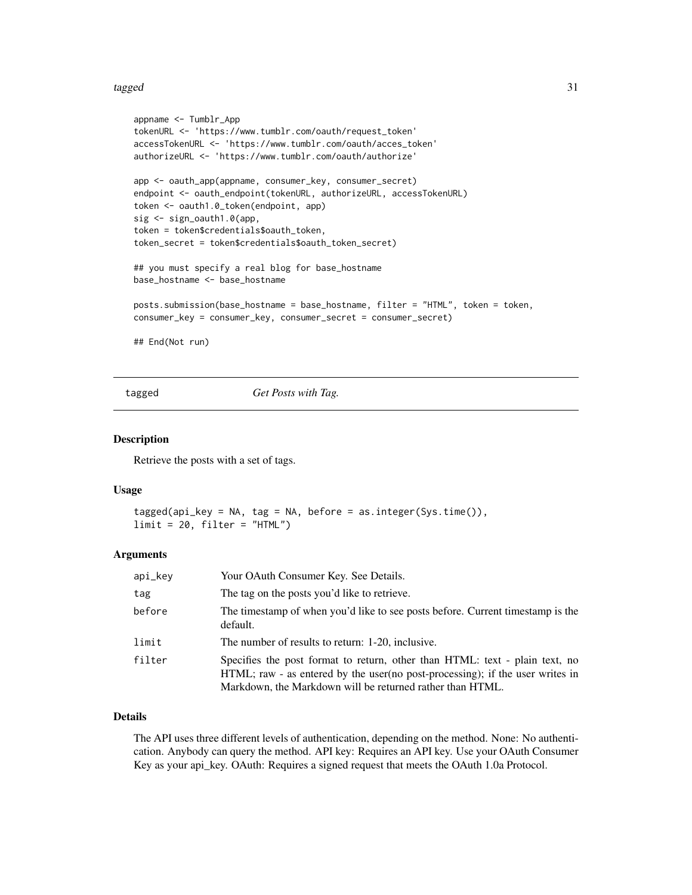#### <span id="page-30-0"></span>tagged 31 and 32 and 32 and 32 and 33 and 33 and 33 and 33 and 33 and 33 and 34 and 34 and 35 and 35 and 36 and 36 and 36 and 36 and 36 and 36 and 36 and 36 and 36 and 36 and 36 and 36 and 36 and 36 and 36 and 36 and 36 an

```
appname <- Tumblr_App
tokenURL <- 'https://www.tumblr.com/oauth/request_token'
accessTokenURL <- 'https://www.tumblr.com/oauth/acces_token'
authorizeURL <- 'https://www.tumblr.com/oauth/authorize'
app <- oauth_app(appname, consumer_key, consumer_secret)
endpoint <- oauth_endpoint(tokenURL, authorizeURL, accessTokenURL)
token <- oauth1.0_token(endpoint, app)
sig <- sign_oauth1.0(app,
token = token$credentials$oauth_token,
token_secret = token$credentials$oauth_token_secret)
## you must specify a real blog for base_hostname
base_hostname <- base_hostname
posts.submission(base_hostname = base_hostname, filter = "HTML", token = token,
consumer_key = consumer_key, consumer_secret = consumer_secret)
## End(Not run)
```
tagged *Get Posts with Tag.*

#### Description

Retrieve the posts with a set of tags.

# Usage

```
tagged(api_key = NA, tag = NA, before = as.integer(Sys.time()),
limit = 20, filter = "HTML")
```
#### Arguments

| api_key | Your OAuth Consumer Key. See Details.                                                                                                                                                                                      |
|---------|----------------------------------------------------------------------------------------------------------------------------------------------------------------------------------------------------------------------------|
| tag     | The tag on the posts you'd like to retrieve.                                                                                                                                                                               |
| before  | The timestamp of when you'd like to see posts before. Current timestamp is the<br>default.                                                                                                                                 |
| limit   | The number of results to return: 1-20, inclusive.                                                                                                                                                                          |
| filter  | Specifies the post format to return, other than HTML: text - plain text, no<br>HTML; raw - as entered by the user (no post-processing); if the user writes in<br>Markdown, the Markdown will be returned rather than HTML. |

# Details

The API uses three different levels of authentication, depending on the method. None: No authentication. Anybody can query the method. API key: Requires an API key. Use your OAuth Consumer Key as your api\_key. OAuth: Requires a signed request that meets the OAuth 1.0a Protocol.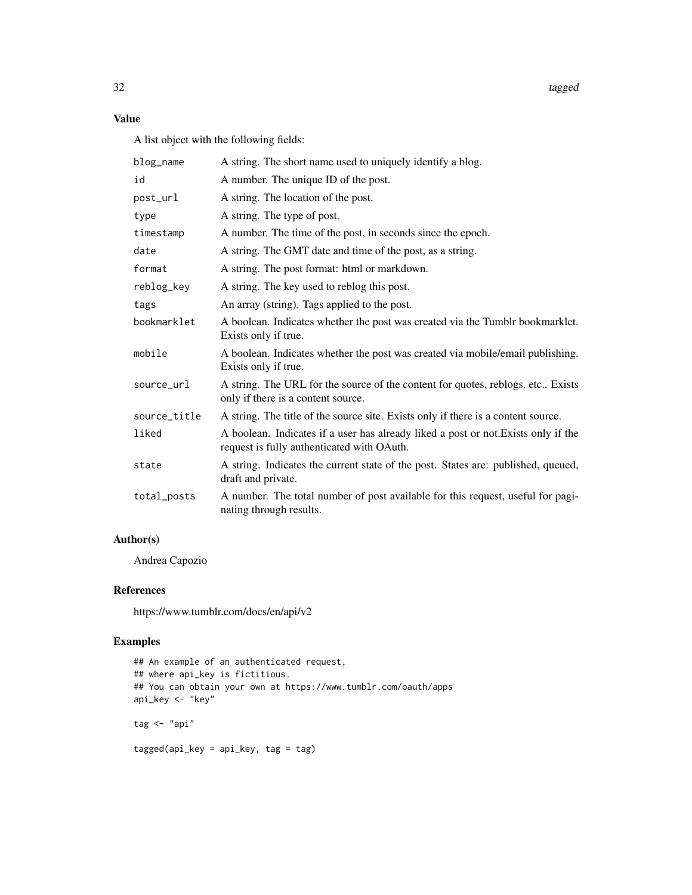32 tagged the control of the control of the control of the control of the control of the control of the control of the control of the control of the control of the control of the control of the control of the control of th

# Value

A list object with the following fields:

| blog_name    | A string. The short name used to uniquely identify a blog.                                                                       |
|--------------|----------------------------------------------------------------------------------------------------------------------------------|
| id           | A number. The unique ID of the post.                                                                                             |
| post_url     | A string. The location of the post.                                                                                              |
| type         | A string. The type of post.                                                                                                      |
| timestamp    | A number. The time of the post, in seconds since the epoch.                                                                      |
| date         | A string. The GMT date and time of the post, as a string.                                                                        |
| format       | A string. The post format: html or markdown.                                                                                     |
| reblog_key   | A string. The key used to reblog this post.                                                                                      |
| tags         | An array (string). Tags applied to the post.                                                                                     |
| bookmarklet  | A boolean. Indicates whether the post was created via the Tumblr bookmarklet.<br>Exists only if true.                            |
| mobile       | A boolean. Indicates whether the post was created via mobile/email publishing.<br>Exists only if true.                           |
| source_url   | A string. The URL for the source of the content for quotes, reblogs, etc Exists<br>only if there is a content source.            |
| source_title | A string. The title of the source site. Exists only if there is a content source.                                                |
| liked        | A boolean. Indicates if a user has already liked a post or not. Exists only if the<br>request is fully authenticated with OAuth. |
| state        | A string. Indicates the current state of the post. States are: published, queued,<br>draft and private.                          |
| total_posts  | A number. The total number of post available for this request, useful for pagi-<br>nating through results.                       |

# Author(s)

Andrea Capozio

# References

https://www.tumblr.com/docs/en/api/v2

# Examples

```
## An example of an authenticated request,
## where api_key is fictitious.
## You can obtain your own at https://www.tumblr.com/oauth/apps
api_key <- "key"
tag <- "api"
tagged(api_key = api_key, tag = tag)
```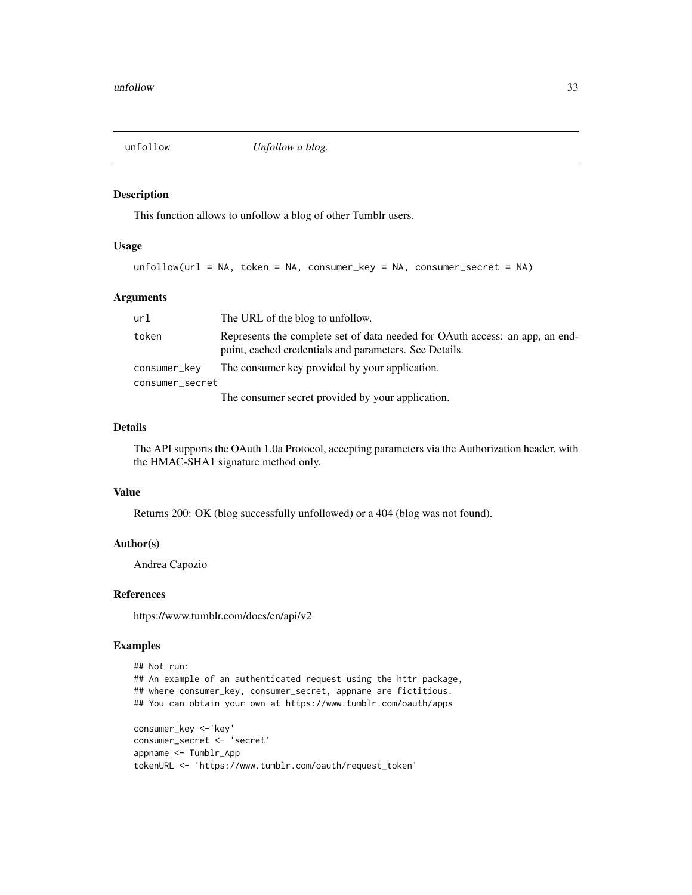<span id="page-32-0"></span>

# Description

This function allows to unfollow a blog of other Tumblr users.

## Usage

unfollow(url = NA, token = NA, consumer\_key = NA, consumer\_secret = NA)

# Arguments

| url             | The URL of the blog to unfollow.                                                                                                       |
|-----------------|----------------------------------------------------------------------------------------------------------------------------------------|
| token           | Represents the complete set of data needed for OAuth access: an app, an end-<br>point, cached credentials and parameters. See Details. |
| consumer_key    | The consumer key provided by your application.                                                                                         |
| consumer_secret |                                                                                                                                        |
|                 | The consumer secret provided by your application.                                                                                      |

# Details

The API supports the OAuth 1.0a Protocol, accepting parameters via the Authorization header, with the HMAC-SHA1 signature method only.

#### Value

Returns 200: OK (blog successfully unfollowed) or a 404 (blog was not found).

#### Author(s)

Andrea Capozio

#### References

https://www.tumblr.com/docs/en/api/v2

# Examples

```
## Not run:
## An example of an authenticated request using the httr package,
## where consumer_key, consumer_secret, appname are fictitious.
## You can obtain your own at https://www.tumblr.com/oauth/apps
consumer_key <-'key'
consumer_secret <- 'secret'
appname <- Tumblr_App
tokenURL <- 'https://www.tumblr.com/oauth/request_token'
```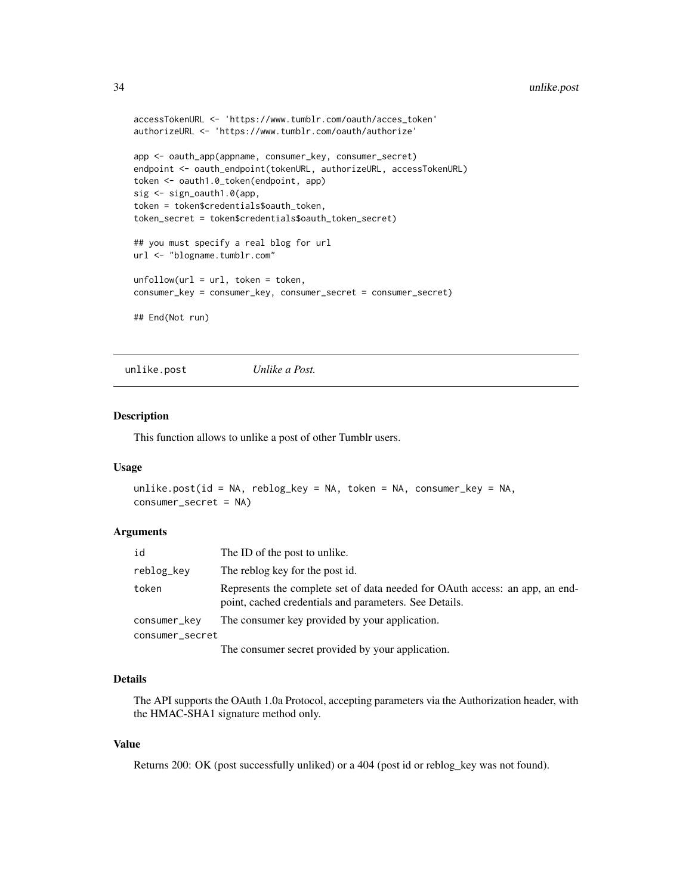```
accessTokenURL <- 'https://www.tumblr.com/oauth/acces_token'
authorizeURL <- 'https://www.tumblr.com/oauth/authorize'
app <- oauth_app(appname, consumer_key, consumer_secret)
endpoint <- oauth_endpoint(tokenURL, authorizeURL, accessTokenURL)
token <- oauth1.0_token(endpoint, app)
sig <- sign_oauth1.0(app,
token = token$credentials$oauth_token,
token_secret = token$credentials$oauth_token_secret)
## you must specify a real blog for url
url <- "blogname.tumblr.com"
unfollow(url = url, token = token,consumer_key = consumer_key, consumer_secret = consumer_secret)
## End(Not run)
```
unlike.post *Unlike a Post.*

# Description

This function allows to unlike a post of other Tumblr users.

#### Usage

```
unlike.post(id = NA, reblog_key = NA, token = NA, consumer_key = NA,
consumer_secret = NA)
```
### Arguments

| id              | The ID of the post to unlike.                                                                                                          |
|-----------------|----------------------------------------------------------------------------------------------------------------------------------------|
| reblog_key      | The reblog key for the post id.                                                                                                        |
| token           | Represents the complete set of data needed for OAuth access: an app, an end-<br>point, cached credentials and parameters. See Details. |
| consumer_key    | The consumer key provided by your application.                                                                                         |
| consumer_secret |                                                                                                                                        |
|                 |                                                                                                                                        |

The consumer secret provided by your application.

# Details

The API supports the OAuth 1.0a Protocol, accepting parameters via the Authorization header, with the HMAC-SHA1 signature method only.

# Value

Returns 200: OK (post successfully unliked) or a 404 (post id or reblog\_key was not found).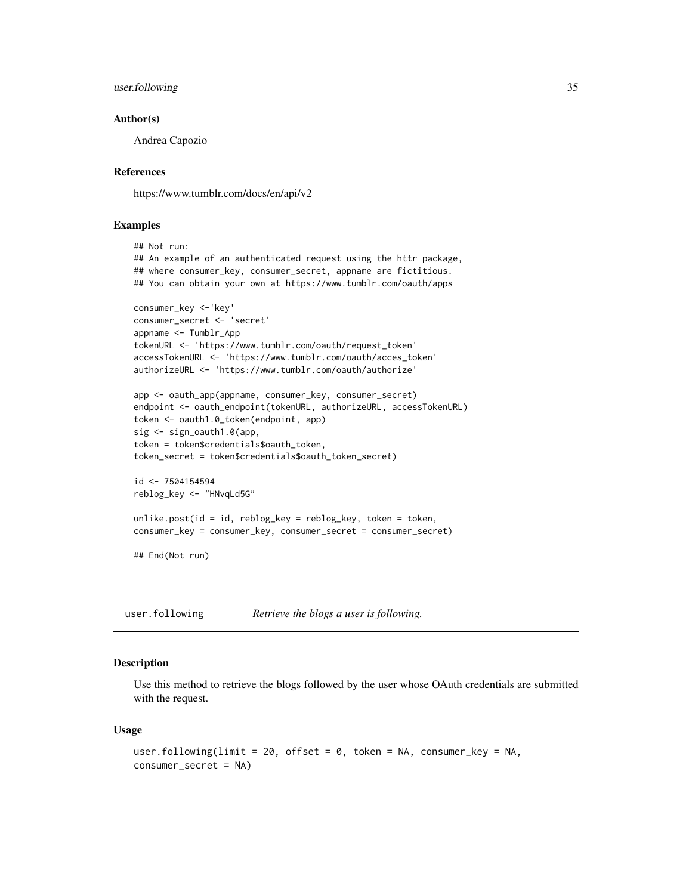# <span id="page-34-0"></span>user.following 35

# Author(s)

Andrea Capozio

# References

https://www.tumblr.com/docs/en/api/v2

# **Examples**

```
## Not run:
## An example of an authenticated request using the httr package,
## where consumer_key, consumer_secret, appname are fictitious.
## You can obtain your own at https://www.tumblr.com/oauth/apps
consumer_key <-'key'
consumer_secret <- 'secret'
appname <- Tumblr_App
tokenURL <- 'https://www.tumblr.com/oauth/request_token'
accessTokenURL <- 'https://www.tumblr.com/oauth/acces_token'
authorizeURL <- 'https://www.tumblr.com/oauth/authorize'
app <- oauth_app(appname, consumer_key, consumer_secret)
endpoint <- oauth_endpoint(tokenURL, authorizeURL, accessTokenURL)
token <- oauth1.0_token(endpoint, app)
sig <- sign_oauth1.0(app,
token = token$credentials$oauth_token,
token_secret = token$credentials$oauth_token_secret)
id <- 7504154594
reblog_key <- "HNvqLd5G"
unlike.post(id = id, reblog_key = reblog_key, token = token,
consumer_key = consumer_key, consumer_secret = consumer_secret)
## End(Not run)
```
user.following *Retrieve the blogs a user is following.*

# **Description**

Use this method to retrieve the blogs followed by the user whose OAuth credentials are submitted with the request.

#### Usage

```
user.following(limit = 20, offset = 0, token = NA, consumer_key = NA,
consumer_secret = NA)
```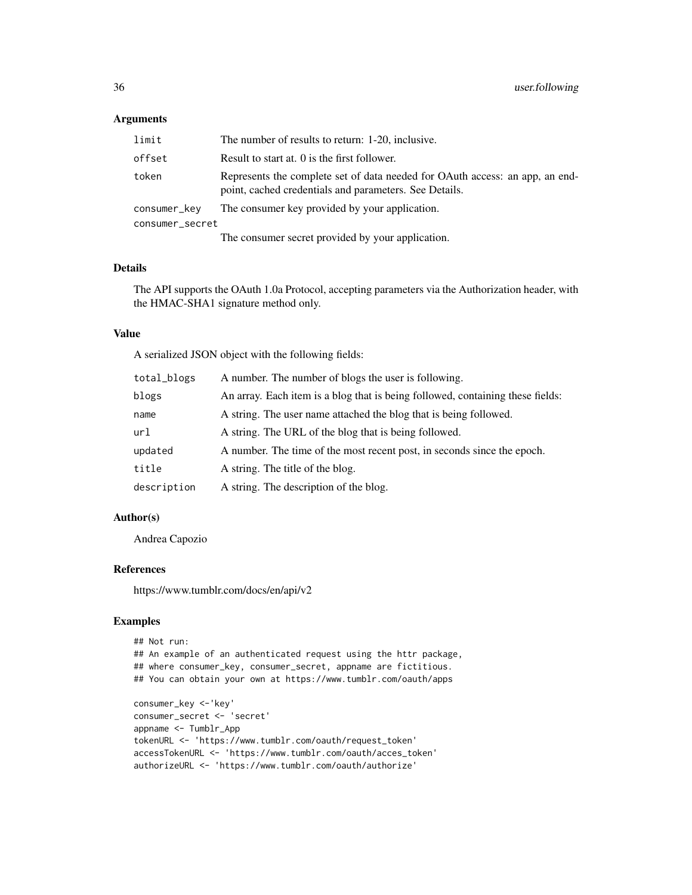# Arguments

| limit           | The number of results to return: 1-20, inclusive.                                                                                      |  |
|-----------------|----------------------------------------------------------------------------------------------------------------------------------------|--|
| offset          | Result to start at. 0 is the first follower.                                                                                           |  |
| token           | Represents the complete set of data needed for OAuth access: an app, an end-<br>point, cached credentials and parameters. See Details. |  |
| consumer_kev    | The consumer key provided by your application.                                                                                         |  |
| consumer_secret |                                                                                                                                        |  |
|                 | The consumer secret provided by your application.                                                                                      |  |

# Details

The API supports the OAuth 1.0a Protocol, accepting parameters via the Authorization header, with the HMAC-SHA1 signature method only.

#### Value

A serialized JSON object with the following fields:

| total_blogs | A number. The number of blogs the user is following.                           |
|-------------|--------------------------------------------------------------------------------|
| blogs       | An array. Each item is a blog that is being followed, containing these fields: |
| name        | A string. The user name attached the blog that is being followed.              |
| url         | A string. The URL of the blog that is being followed.                          |
| updated     | A number. The time of the most recent post, in seconds since the epoch.        |
| title       | A string. The title of the blog.                                               |
| description | A string. The description of the blog.                                         |

# Author(s)

Andrea Capozio

# References

https://www.tumblr.com/docs/en/api/v2

# Examples

```
## Not run:
## An example of an authenticated request using the httr package,
## where consumer_key, consumer_secret, appname are fictitious.
## You can obtain your own at https://www.tumblr.com/oauth/apps
consumer_key <-'key'
consumer_secret <- 'secret'
appname <- Tumblr_App
tokenURL <- 'https://www.tumblr.com/oauth/request_token'
accessTokenURL <- 'https://www.tumblr.com/oauth/acces_token'
authorizeURL <- 'https://www.tumblr.com/oauth/authorize'
```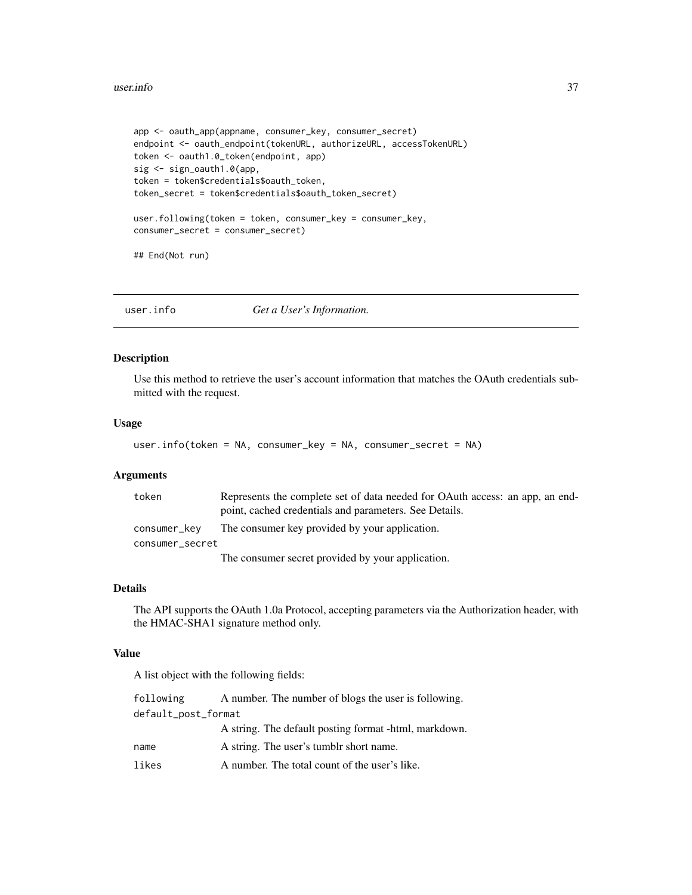#### <span id="page-36-0"></span>user.info 37

```
app <- oauth_app(appname, consumer_key, consumer_secret)
endpoint <- oauth_endpoint(tokenURL, authorizeURL, accessTokenURL)
token <- oauth1.0_token(endpoint, app)
sig <- sign_oauth1.0(app,
token = token$credentials$oauth_token,
token_secret = token$credentials$oauth_token_secret)
user.following(token = token, consumer_key = consumer_key,
consumer_secret = consumer_secret)
## End(Not run)
```
user.info *Get a User's Information.*

## Description

Use this method to retrieve the user's account information that matches the OAuth credentials submitted with the request.

#### Usage

```
user.info(token = NA, consumer_key = NA, consumer_secret = NA)
```
# Arguments

| token           | Represents the complete set of data needed for OAuth access: an app, an end-<br>point, cached credentials and parameters. See Details. |
|-----------------|----------------------------------------------------------------------------------------------------------------------------------------|
| consumer_kev    | The consumer key provided by your application.                                                                                         |
| consumer_secret |                                                                                                                                        |
|                 | The consumer secret provided by your application.                                                                                      |

# Details

The API supports the OAuth 1.0a Protocol, accepting parameters via the Authorization header, with the HMAC-SHA1 signature method only.

# Value

A list object with the following fields:

| following           | A number. The number of blogs the user is following.  |  |
|---------------------|-------------------------------------------------------|--|
| default_post_format |                                                       |  |
|                     | A string. The default posting format -html, markdown. |  |
| name                | A string. The user's tumble short name.               |  |
| likes               | A number. The total count of the user's like.         |  |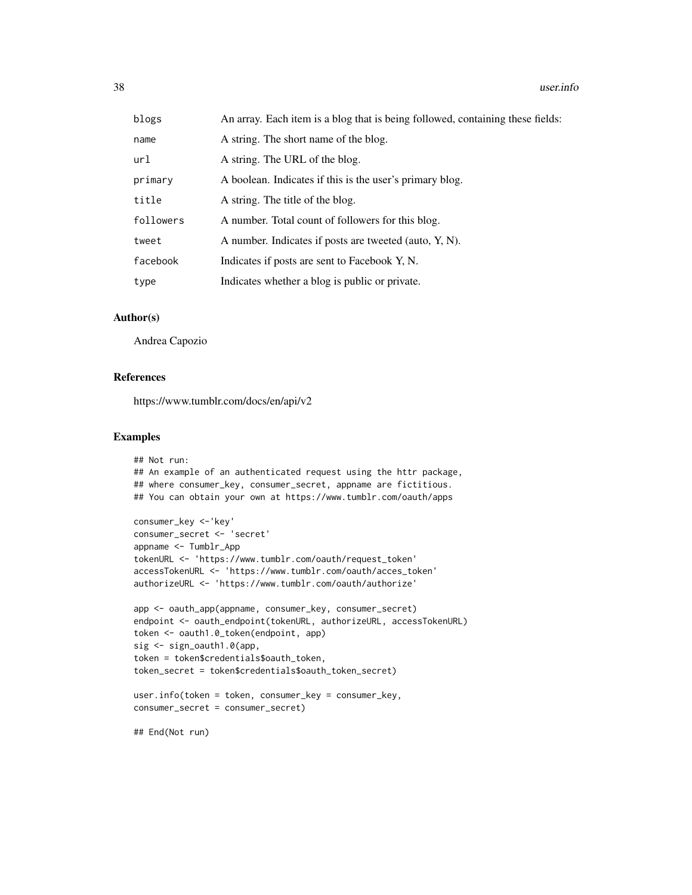| blogs     | An array. Each item is a blog that is being followed, containing these fields: |
|-----------|--------------------------------------------------------------------------------|
| name      | A string. The short name of the blog.                                          |
| url       | A string. The URL of the blog.                                                 |
| primary   | A boolean. Indicates if this is the user's primary blog.                       |
| title     | A string. The title of the blog.                                               |
| followers | A number. Total count of followers for this blog.                              |
| tweet     | A number. Indicates if posts are tweeted (auto, Y, N).                         |
| facebook  | Indicates if posts are sent to Facebook Y, N.                                  |
| type      | Indicates whether a blog is public or private.                                 |

# Author(s)

Andrea Capozio

#### References

https://www.tumblr.com/docs/en/api/v2

# Examples

```
## Not run:
## An example of an authenticated request using the httr package,
## where consumer_key, consumer_secret, appname are fictitious.
## You can obtain your own at https://www.tumblr.com/oauth/apps
consumer_key <-'key'
consumer_secret <- 'secret'
appname <- Tumblr_App
tokenURL <- 'https://www.tumblr.com/oauth/request_token'
accessTokenURL <- 'https://www.tumblr.com/oauth/acces_token'
authorizeURL <- 'https://www.tumblr.com/oauth/authorize'
app <- oauth_app(appname, consumer_key, consumer_secret)
endpoint <- oauth_endpoint(tokenURL, authorizeURL, accessTokenURL)
token <- oauth1.0_token(endpoint, app)
sig <- sign_oauth1.0(app,
token = token$credentials$oauth_token,
token_secret = token$credentials$oauth_token_secret)
user.info(token = token, consumer_key = consumer_key,
consumer_secret = consumer_secret)
```
## End(Not run)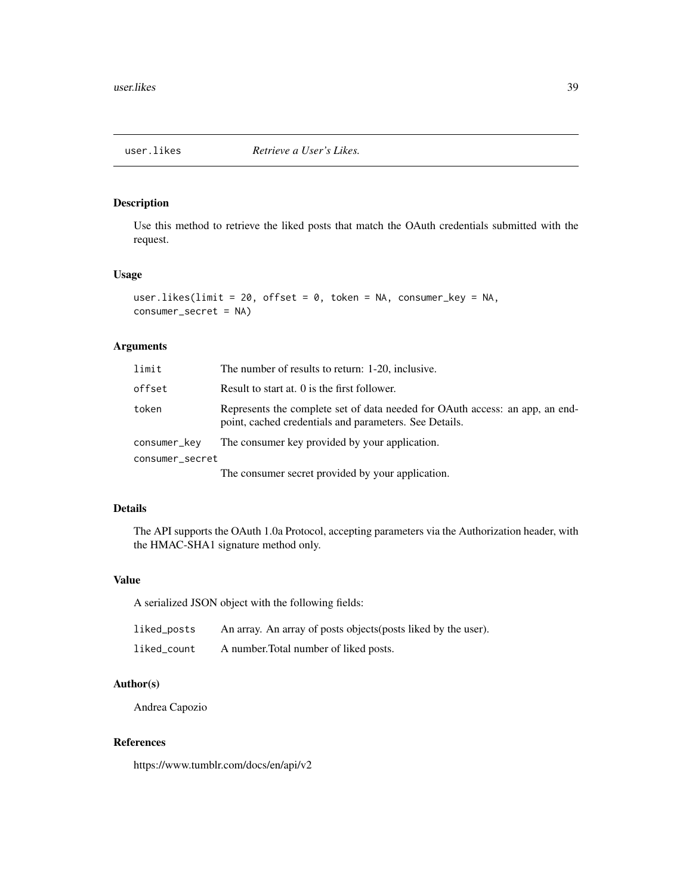<span id="page-38-0"></span>

# Description

Use this method to retrieve the liked posts that match the OAuth credentials submitted with the request.

# Usage

```
user.likes(limit = 20, offset = 0, token = NA, consumer_key = NA,
consumer_secret = NA)
```
# Arguments

| limit           | The number of results to return: 1-20, inclusive.                                                                                      |  |
|-----------------|----------------------------------------------------------------------------------------------------------------------------------------|--|
| offset          | Result to start at. 0 is the first follower.                                                                                           |  |
| token           | Represents the complete set of data needed for OAuth access: an app, an end-<br>point, cached credentials and parameters. See Details. |  |
| consumer_kev    | The consumer key provided by your application.                                                                                         |  |
| consumer_secret |                                                                                                                                        |  |
|                 | The consumer secret provided by your application.                                                                                      |  |

# Details

The API supports the OAuth 1.0a Protocol, accepting parameters via the Authorization header, with the HMAC-SHA1 signature method only.

# Value

A serialized JSON object with the following fields:

| liked_posts | An array. An array of posts objects (posts liked by the user). |
|-------------|----------------------------------------------------------------|
| liked count | A number. Total number of liked posts.                         |

# Author(s)

Andrea Capozio

# References

https://www.tumblr.com/docs/en/api/v2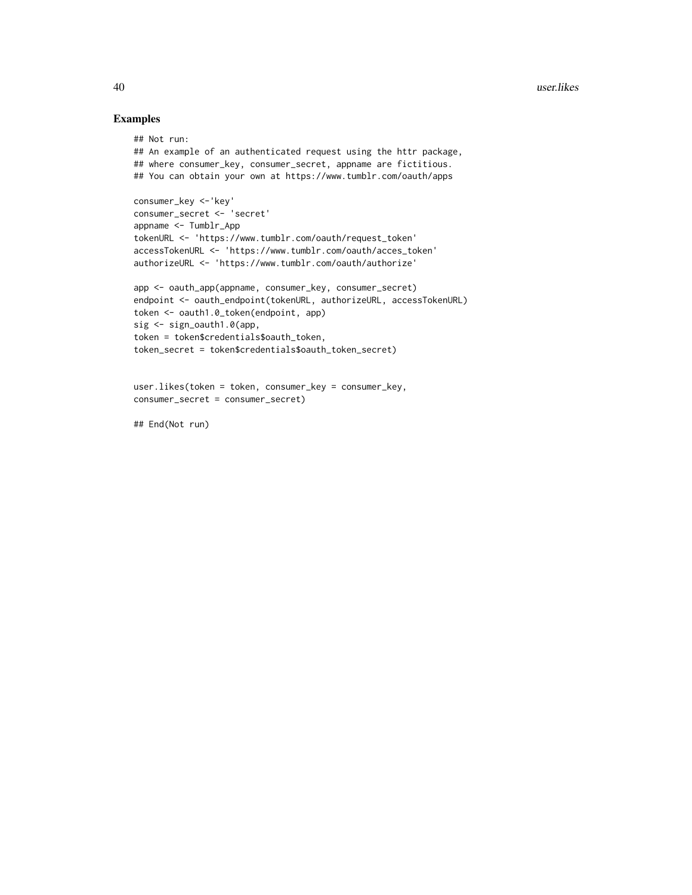# Examples

```
## Not run:
## An example of an authenticated request using the httr package,
## where consumer_key, consumer_secret, appname are fictitious.
## You can obtain your own at https://www.tumblr.com/oauth/apps
consumer_key <-'key'
consumer_secret <- 'secret'
appname <- Tumblr_App
tokenURL <- 'https://www.tumblr.com/oauth/request_token'
accessTokenURL <- 'https://www.tumblr.com/oauth/acces_token'
authorizeURL <- 'https://www.tumblr.com/oauth/authorize'
app <- oauth_app(appname, consumer_key, consumer_secret)
endpoint <- oauth_endpoint(tokenURL, authorizeURL, accessTokenURL)
token <- oauth1.0_token(endpoint, app)
sig <- sign_oauth1.0(app,
token = token$credentials$oauth_token,
token_secret = token$credentials$oauth_token_secret)
user.likes(token = token, consumer_key = consumer_key,
```

```
consumer_secret = consumer_secret)
```
## End(Not run)